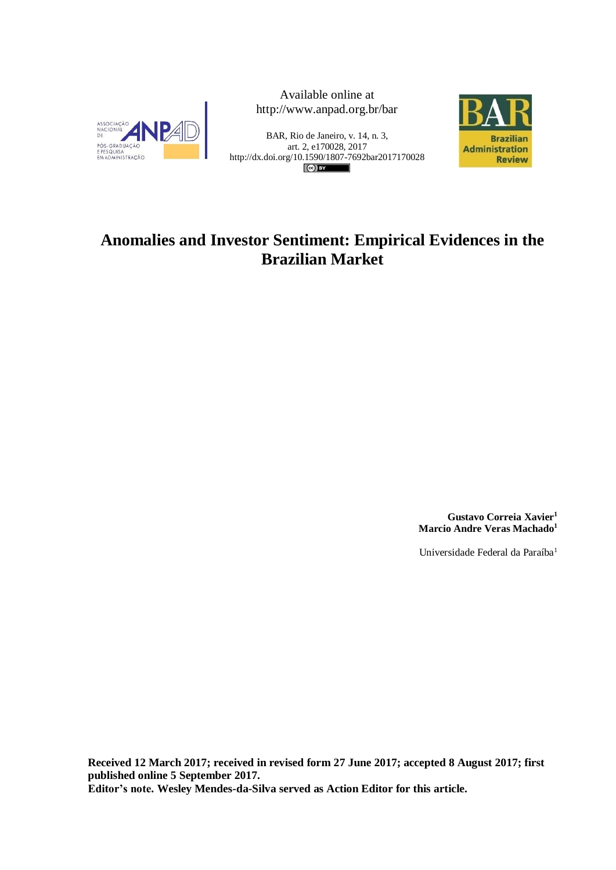

Available online at http://www.anpad.org.br/bar

BAR, Rio de Janeiro, v. 14, n. 3, art. 2, e170028, 2017 http://dx.doi.org/10.1590/1807-7692bar2017170028



# **Anomalies and Investor Sentiment: Empirical Evidences in the Brazilian Market**

**Gustavo Correia Xavier<sup>1</sup> Marcio Andre Veras Machado<sup>1</sup>**

Universidade Federal da Paraíba<sup>1</sup>

**Received 12 March 2017; received in revised form 27 June 2017; accepted 8 August 2017; first published online 5 September 2017. Editor's note. Wesley Mendes-da-Silva served as Action Editor for this article.**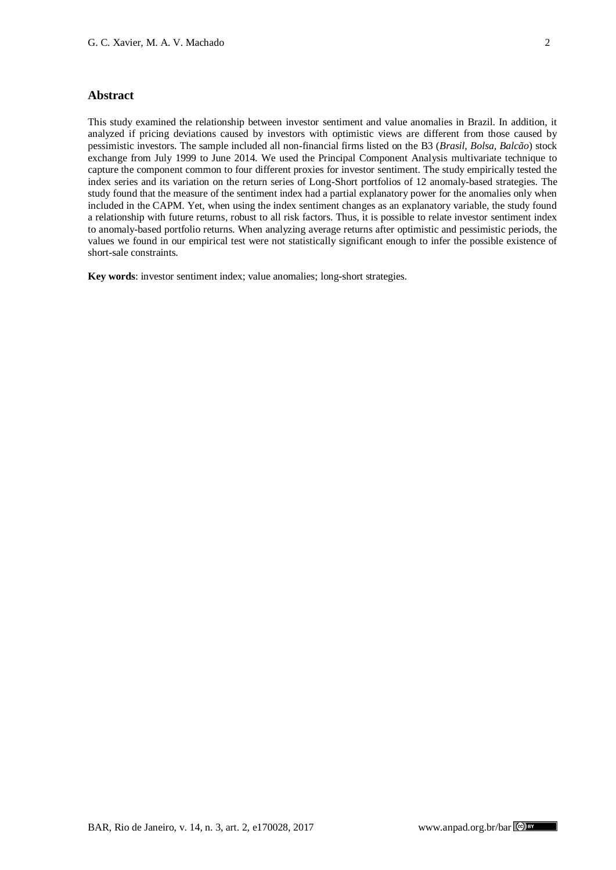## **Abstract**

This study examined the relationship between investor sentiment and value anomalies in Brazil. In addition, it analyzed if pricing deviations caused by investors with optimistic views are different from those caused by pessimistic investors. The sample included all non-financial firms listed on the B3 (*Brasil, Bolsa, Balcão*) stock exchange from July 1999 to June 2014. We used the Principal Component Analysis multivariate technique to capture the component common to four different proxies for investor sentiment. The study empirically tested the index series and its variation on the return series of Long-Short portfolios of 12 anomaly-based strategies. The study found that the measure of the sentiment index had a partial explanatory power for the anomalies only when included in the CAPM. Yet, when using the index sentiment changes as an explanatory variable, the study found a relationship with future returns, robust to all risk factors. Thus, it is possible to relate investor sentiment index to anomaly-based portfolio returns. When analyzing average returns after optimistic and pessimistic periods, the values we found in our empirical test were not statistically significant enough to infer the possible existence of short-sale constraints.

**Key words**: investor sentiment index; value anomalies; long*-*short strategies.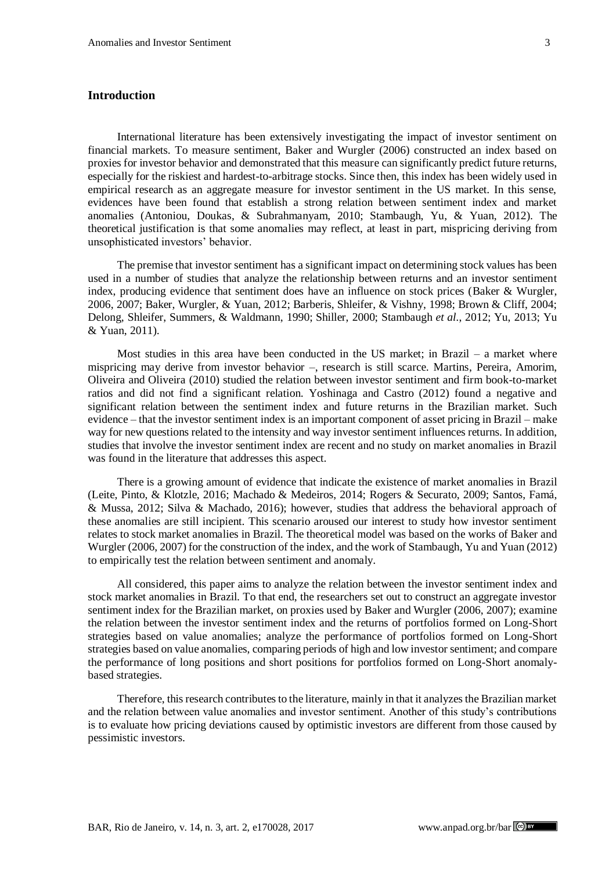## **Introduction**

International literature has been extensively investigating the impact of investor sentiment on financial markets. To measure sentiment, Baker and Wurgler (2006) constructed an index based on proxies for investor behavior and demonstrated that this measure can significantly predict future returns, especially for the riskiest and hardest-to-arbitrage stocks. Since then, this index has been widely used in empirical research as an aggregate measure for investor sentiment in the US market. In this sense, evidences have been found that establish a strong relation between sentiment index and market anomalies (Antoniou, Doukas, & Subrahmanyam, 2010; Stambaugh, Yu, & Yuan, 2012). The theoretical justification is that some anomalies may reflect, at least in part, mispricing deriving from unsophisticated investors' behavior.

The premise that investor sentiment has a significant impact on determining stock values has been used in a number of studies that analyze the relationship between returns and an investor sentiment index, producing evidence that sentiment does have an influence on stock prices (Baker & Wurgler, 2006, 2007; Baker, Wurgler, & Yuan, 2012; Barberis, Shleifer, & Vishny, 1998; Brown & Cliff, 2004; Delong, Shleifer, Summers, & Waldmann, 1990; Shiller, 2000; Stambaugh *et al.*, 2012; Yu, 2013; Yu & Yuan, 2011).

Most studies in this area have been conducted in the US market; in Brazil – a market where mispricing may derive from investor behavior –, research is still scarce. Martins, Pereira, Amorim, Oliveira and Oliveira (2010) studied the relation between investor sentiment and firm book-to-market ratios and did not find a significant relation. Yoshinaga and Castro (2012) found a negative and significant relation between the sentiment index and future returns in the Brazilian market. Such evidence – that the investor sentiment index is an important component of asset pricing in Brazil – make way for new questions related to the intensity and way investor sentiment influences returns. In addition, studies that involve the investor sentiment index are recent and no study on market anomalies in Brazil was found in the literature that addresses this aspect.

There is a growing amount of evidence that indicate the existence of market anomalies in Brazil (Leite, Pinto, & Klotzle, 2016; Machado & Medeiros, 2014; Rogers & Securato, 2009; Santos, Famá, & Mussa, 2012; Silva & Machado, 2016); however, studies that address the behavioral approach of these anomalies are still incipient. This scenario aroused our interest to study how investor sentiment relates to stock market anomalies in Brazil. The theoretical model was based on the works of Baker and Wurgler (2006, 2007) for the construction of the index, and the work of Stambaugh, Yu and Yuan (2012) to empirically test the relation between sentiment and anomaly.

All considered, this paper aims to analyze the relation between the investor sentiment index and stock market anomalies in Brazil. To that end, the researchers set out to construct an aggregate investor sentiment index for the Brazilian market, on proxies used by Baker and Wurgler (2006, 2007); examine the relation between the investor sentiment index and the returns of portfolios formed on Long-Short strategies based on value anomalies; analyze the performance of portfolios formed on Long-Short strategies based on value anomalies, comparing periods of high and low investor sentiment; and compare the performance of long positions and short positions for portfolios formed on Long-Short anomalybased strategies.

Therefore, this research contributes to the literature, mainly in that it analyzes the Brazilian market and the relation between value anomalies and investor sentiment. Another of this study's contributions is to evaluate how pricing deviations caused by optimistic investors are different from those caused by pessimistic investors.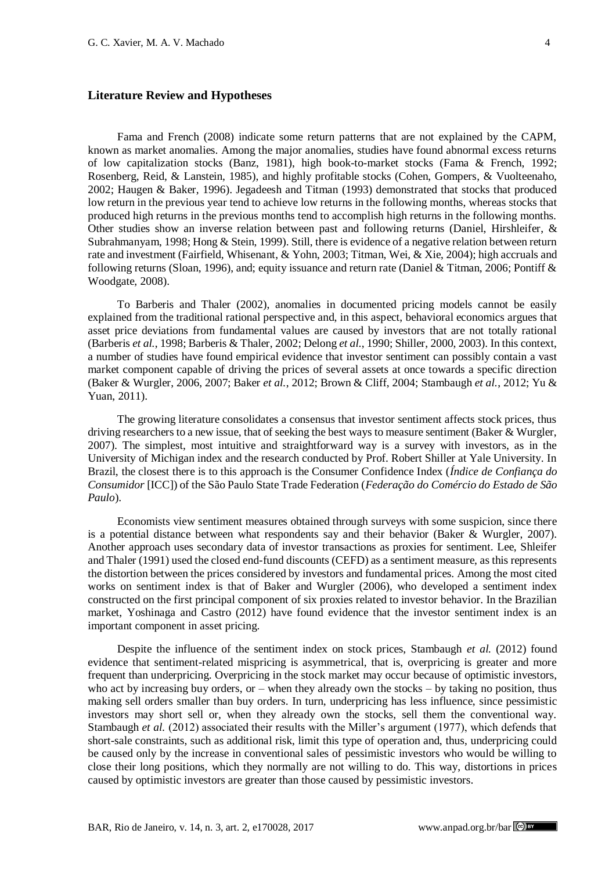## **Literature Review and Hypotheses**

Fama and French (2008) indicate some return patterns that are not explained by the CAPM, known as market anomalies. Among the major anomalies, studies have found abnormal excess returns of low capitalization stocks (Banz, 1981), high book-to-market stocks (Fama & French, 1992; Rosenberg, Reid, & Lanstein, 1985), and highly profitable stocks (Cohen, Gompers, & Vuolteenaho, 2002; Haugen & Baker, 1996). Jegadeesh and Titman (1993) demonstrated that stocks that produced low return in the previous year tend to achieve low returns in the following months, whereas stocks that produced high returns in the previous months tend to accomplish high returns in the following months. Other studies show an inverse relation between past and following returns (Daniel, Hirshleifer, & Subrahmanyam, 1998; Hong & Stein, 1999). Still, there is evidence of a negative relation between return rate and investment (Fairfield, Whisenant, & Yohn, 2003; Titman, Wei, & Xie, 2004); high accruals and following returns (Sloan, 1996), and; equity issuance and return rate (Daniel & Titman, 2006; Pontiff & Woodgate, 2008).

To Barberis and Thaler (2002), anomalies in documented pricing models cannot be easily explained from the traditional rational perspective and, in this aspect, behavioral economics argues that asset price deviations from fundamental values are caused by investors that are not totally rational (Barberis *et al.*, 1998; Barberis & Thaler, 2002; Delong *et al.*, 1990; Shiller, 2000, 2003). In this context, a number of studies have found empirical evidence that investor sentiment can possibly contain a vast market component capable of driving the prices of several assets at once towards a specific direction (Baker & Wurgler, 2006, 2007; Baker *et al.*, 2012; Brown & Cliff, 2004; Stambaugh *et al.*, 2012; Yu & Yuan, 2011).

The growing literature consolidates a consensus that investor sentiment affects stock prices, thus driving researchers to a new issue, that of seeking the best ways to measure sentiment (Baker & Wurgler, 2007). The simplest, most intuitive and straightforward way is a survey with investors, as in the University of Michigan index and the research conducted by Prof. Robert Shiller at Yale University. In Brazil, the closest there is to this approach is the Consumer Confidence Index (*Índice de Confiança do Consumidor* [ICC]) of the São Paulo State Trade Federation (*Federação do Comércio do Estado de São Paulo*).

Economists view sentiment measures obtained through surveys with some suspicion, since there is a potential distance between what respondents say and their behavior (Baker & Wurgler, 2007). Another approach uses secondary data of investor transactions as proxies for sentiment. Lee, Shleifer and Thaler (1991) used the closed end-fund discounts (CEFD) as a sentiment measure, as this represents the distortion between the prices considered by investors and fundamental prices. Among the most cited works on sentiment index is that of Baker and Wurgler (2006), who developed a sentiment index constructed on the first principal component of six proxies related to investor behavior. In the Brazilian market, Yoshinaga and Castro (2012) have found evidence that the investor sentiment index is an important component in asset pricing.

Despite the influence of the sentiment index on stock prices, Stambaugh *et al.* (2012) found evidence that sentiment-related mispricing is asymmetrical, that is, overpricing is greater and more frequent than underpricing. Overpricing in the stock market may occur because of optimistic investors, who act by increasing buy orders, or – when they already own the stocks – by taking no position, thus making sell orders smaller than buy orders. In turn, underpricing has less influence, since pessimistic investors may short sell or, when they already own the stocks, sell them the conventional way. Stambaugh *et al.* (2012) associated their results with the Miller's argument (1977), which defends that short-sale constraints, such as additional risk, limit this type of operation and, thus, underpricing could be caused only by the increase in conventional sales of pessimistic investors who would be willing to close their long positions, which they normally are not willing to do. This way, distortions in prices caused by optimistic investors are greater than those caused by pessimistic investors.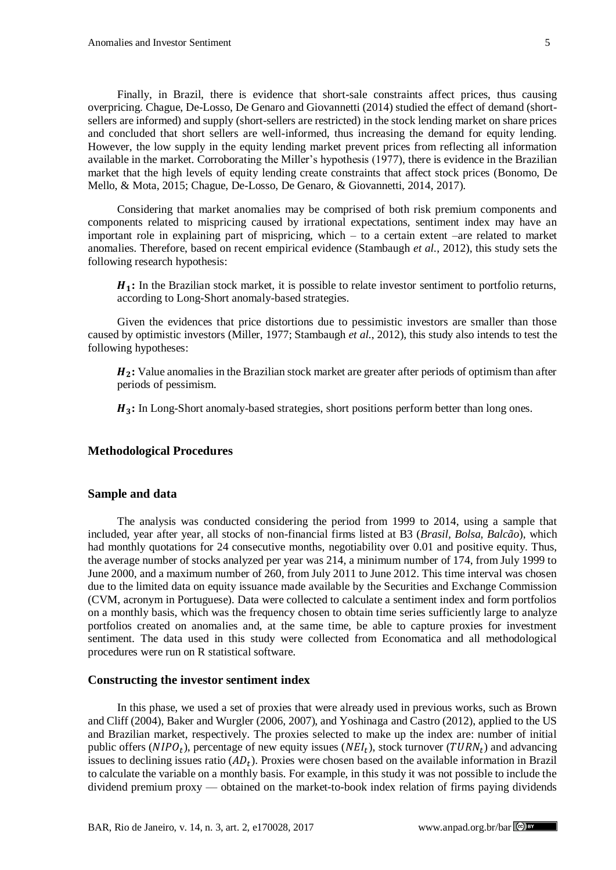Finally, in Brazil, there is evidence that short-sale constraints affect prices, thus causing overpricing. Chague, De-Losso, De Genaro and Giovannetti (2014) studied the effect of demand (shortsellers are informed) and supply (short-sellers are restricted) in the stock lending market on share prices and concluded that short sellers are well-informed, thus increasing the demand for equity lending. However, the low supply in the equity lending market prevent prices from reflecting all information available in the market. Corroborating the Miller's hypothesis (1977), there is evidence in the Brazilian market that the high levels of equity lending create constraints that affect stock prices (Bonomo, De Mello, & Mota, 2015; Chague, De-Losso, De Genaro, & Giovannetti, 2014, 2017).

Considering that market anomalies may be comprised of both risk premium components and components related to mispricing caused by irrational expectations, sentiment index may have an important role in explaining part of mispricing, which – to a certain extent –are related to market anomalies. Therefore, based on recent empirical evidence (Stambaugh *et al.*, 2012), this study sets the following research hypothesis:

**:** In the Brazilian stock market, it is possible to relate investor sentiment to portfolio returns, according to Long-Short anomaly-based strategies.

Given the evidences that price distortions due to pessimistic investors are smaller than those caused by optimistic investors (Miller, 1977; Stambaugh *et al.*, 2012), this study also intends to test the following hypotheses:

**:** Value anomalies in the Brazilian stock market are greater after periods of optimism than after periods of pessimism.

**:** In Long-Short anomaly-based strategies, short positions perform better than long ones.

## **Methodological Procedures**

## **Sample and data**

The analysis was conducted considering the period from 1999 to 2014, using a sample that included, year after year, all stocks of non-financial firms listed at B3 (*Brasil, Bolsa, Balcão*), which had monthly quotations for 24 consecutive months, negotiability over 0.01 and positive equity. Thus, the average number of stocks analyzed per year was 214, a minimum number of 174, from July 1999 to June 2000, and a maximum number of 260, from July 2011 to June 2012. This time interval was chosen due to the limited data on equity issuance made available by the Securities and Exchange Commission (CVM, acronym in Portuguese). Data were collected to calculate a sentiment index and form portfolios on a monthly basis, which was the frequency chosen to obtain time series sufficiently large to analyze portfolios created on anomalies and, at the same time, be able to capture proxies for investment sentiment. The data used in this study were collected from Economatica and all methodological procedures were run on R statistical software.

#### **Constructing the investor sentiment index**

In this phase, we used a set of proxies that were already used in previous works, such as Brown and Cliff (2004), Baker and Wurgler (2006, 2007), and Yoshinaga and Castro (2012), applied to the US and Brazilian market, respectively. The proxies selected to make up the index are: number of initial public offers ( $NIPO_t$ ), percentage of new equity issues ( $NEI_t$ ), stock turnover ( $TURN_t$ ) and advancing issues to declining issues ratio  $(AD_t)$ . Proxies were chosen based on the available information in Brazil to calculate the variable on a monthly basis. For example, in this study it was not possible to include the dividend premium proxy — obtained on the market-to-book index relation of firms paying dividends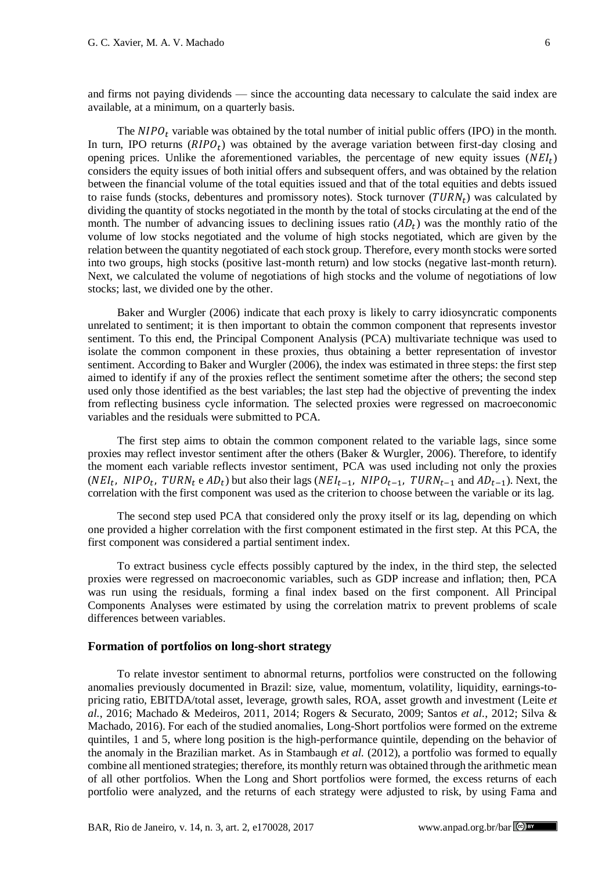and firms not paying dividends — since the accounting data necessary to calculate the said index are available, at a minimum, on a quarterly basis.

The  $NIPO<sub>t</sub>$  variable was obtained by the total number of initial public offers (IPO) in the month. In turn, IPO returns  $(RIPO<sub>t</sub>)$  was obtained by the average variation between first-day closing and opening prices. Unlike the aforementioned variables, the percentage of new equity issues  $(NEI_t)$ considers the equity issues of both initial offers and subsequent offers, and was obtained by the relation between the financial volume of the total equities issued and that of the total equities and debts issued to raise funds (stocks, debentures and promissory notes). Stock turnover  $(TURN_t)$  was calculated by dividing the quantity of stocks negotiated in the month by the total of stocks circulating at the end of the month. The number of advancing issues to declining issues ratio  $(AD<sub>t</sub>)$  was the monthly ratio of the volume of low stocks negotiated and the volume of high stocks negotiated, which are given by the relation between the quantity negotiated of each stock group. Therefore, every month stocks were sorted into two groups, high stocks (positive last-month return) and low stocks (negative last-month return). Next, we calculated the volume of negotiations of high stocks and the volume of negotiations of low stocks; last, we divided one by the other.

Baker and Wurgler (2006) indicate that each proxy is likely to carry idiosyncratic components unrelated to sentiment; it is then important to obtain the common component that represents investor sentiment. To this end, the Principal Component Analysis (PCA) multivariate technique was used to isolate the common component in these proxies, thus obtaining a better representation of investor sentiment. According to Baker and Wurgler (2006), the index was estimated in three steps: the first step aimed to identify if any of the proxies reflect the sentiment sometime after the others; the second step used only those identified as the best variables; the last step had the objective of preventing the index from reflecting business cycle information. The selected proxies were regressed on macroeconomic variables and the residuals were submitted to PCA.

The first step aims to obtain the common component related to the variable lags, since some proxies may reflect investor sentiment after the others (Baker & Wurgler, 2006). Therefore, to identify the moment each variable reflects investor sentiment, PCA was used including not only the proxies (NEI<sub>t</sub>, NIPO<sub>t</sub>, TURN<sub>t</sub> e AD<sub>t</sub>) but also their lags (NEI<sub>t-1</sub>, NIPO<sub>t-1</sub>, TURN<sub>t-1</sub> and AD<sub>t-1</sub>). Next, the correlation with the first component was used as the criterion to choose between the variable or its lag.

The second step used PCA that considered only the proxy itself or its lag, depending on which one provided a higher correlation with the first component estimated in the first step. At this PCA, the first component was considered a partial sentiment index.

To extract business cycle effects possibly captured by the index, in the third step, the selected proxies were regressed on macroeconomic variables, such as GDP increase and inflation; then, PCA was run using the residuals, forming a final index based on the first component. All Principal Components Analyses were estimated by using the correlation matrix to prevent problems of scale differences between variables.

#### **Formation of portfolios on long-short strategy**

To relate investor sentiment to abnormal returns, portfolios were constructed on the following anomalies previously documented in Brazil: size, value, momentum, volatility, liquidity, earnings-topricing ratio, EBITDA/total asset, leverage, growth sales, ROA, asset growth and investment (Leite *et al.*, 2016; Machado & Medeiros, 2011, 2014; Rogers & Securato, 2009; Santos *et al.*, 2012; Silva & Machado, 2016). For each of the studied anomalies, Long-Short portfolios were formed on the extreme quintiles, 1 and 5, where long position is the high-performance quintile, depending on the behavior of the anomaly in the Brazilian market. As in Stambaugh *et al.* (2012), a portfolio was formed to equally combine all mentioned strategies; therefore, its monthly return was obtained through the arithmetic mean of all other portfolios. When the Long and Short portfolios were formed, the excess returns of each portfolio were analyzed, and the returns of each strategy were adjusted to risk, by using Fama and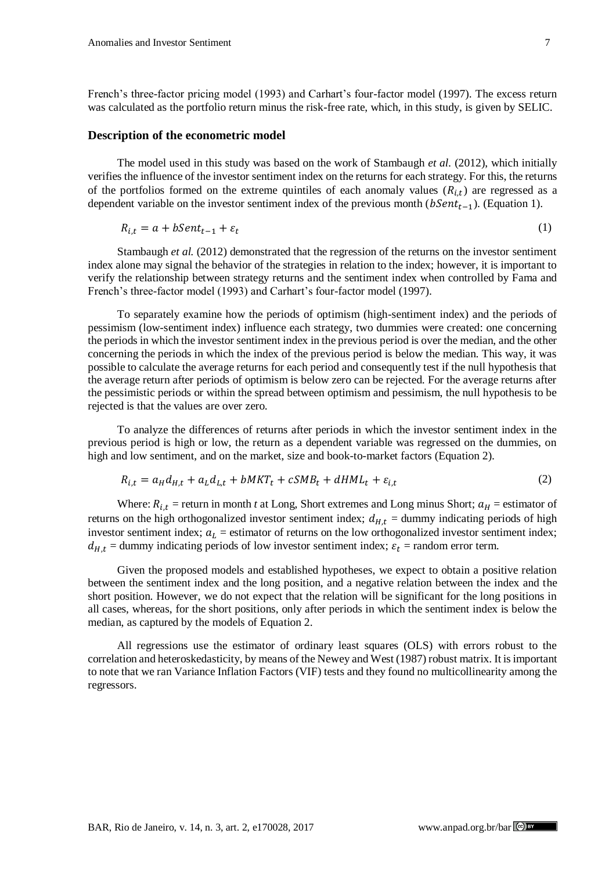French's three-factor pricing model (1993) and Carhart's four-factor model (1997). The excess return was calculated as the portfolio return minus the risk-free rate, which, in this study, is given by SELIC.

#### **Description of the econometric model**

The model used in this study was based on the work of Stambaugh *et al.* (2012), which initially verifies the influence of the investor sentiment index on the returns for each strategy. For this, the returns of the portfolios formed on the extreme quintiles of each anomaly values  $(R_{i,t})$  are regressed as a dependent variable on the investor sentiment index of the previous month ( $bSent_{t-1}$ ). (Equation 1).

$$
R_{i,t} = a + bSent_{t-1} + \varepsilon_t
$$
 (1)

Stambaugh *et al.* (2012) demonstrated that the regression of the returns on the investor sentiment index alone may signal the behavior of the strategies in relation to the index; however, it is important to verify the relationship between strategy returns and the sentiment index when controlled by Fama and French's three-factor model (1993) and Carhart's four-factor model (1997).

To separately examine how the periods of optimism (high-sentiment index) and the periods of pessimism (low-sentiment index) influence each strategy, two dummies were created: one concerning the periods in which the investor sentiment index in the previous period is over the median, and the other concerning the periods in which the index of the previous period is below the median. This way, it was possible to calculate the average returns for each period and consequently test if the null hypothesis that the average return after periods of optimism is below zero can be rejected. For the average returns after the pessimistic periods or within the spread between optimism and pessimism, the null hypothesis to be rejected is that the values are over zero.

To analyze the differences of returns after periods in which the investor sentiment index in the previous period is high or low, the return as a dependent variable was regressed on the dummies, on high and low sentiment, and on the market, size and book-to-market factors (Equation 2).

$$
R_{i,t} = a_H d_{H,t} + a_L d_{L,t} + bMKT_t + cSMB_t + dHML_t + \varepsilon_{i,t}
$$
\n<sup>(2)</sup>

Where:  $R_{i,t}$  = return in month *t* at Long, Short extremes and Long minus Short;  $a_H$  = estimator of returns on the high orthogonalized investor sentiment index;  $d_{H,t}$  = dummy indicating periods of high investor sentiment index;  $a<sub>L</sub>$  = estimator of returns on the low orthogonalized investor sentiment index;  $d_{H,t}$  = dummy indicating periods of low investor sentiment index;  $\varepsilon_t$  = random error term.

Given the proposed models and established hypotheses, we expect to obtain a positive relation between the sentiment index and the long position, and a negative relation between the index and the short position. However, we do not expect that the relation will be significant for the long positions in all cases, whereas, for the short positions, only after periods in which the sentiment index is below the median, as captured by the models of Equation 2.

All regressions use the estimator of ordinary least squares (OLS) with errors robust to the correlation and heteroskedasticity, by means of the Newey and West (1987) robust matrix. It is important to note that we ran Variance Inflation Factors (VIF) tests and they found no multicollinearity among the regressors.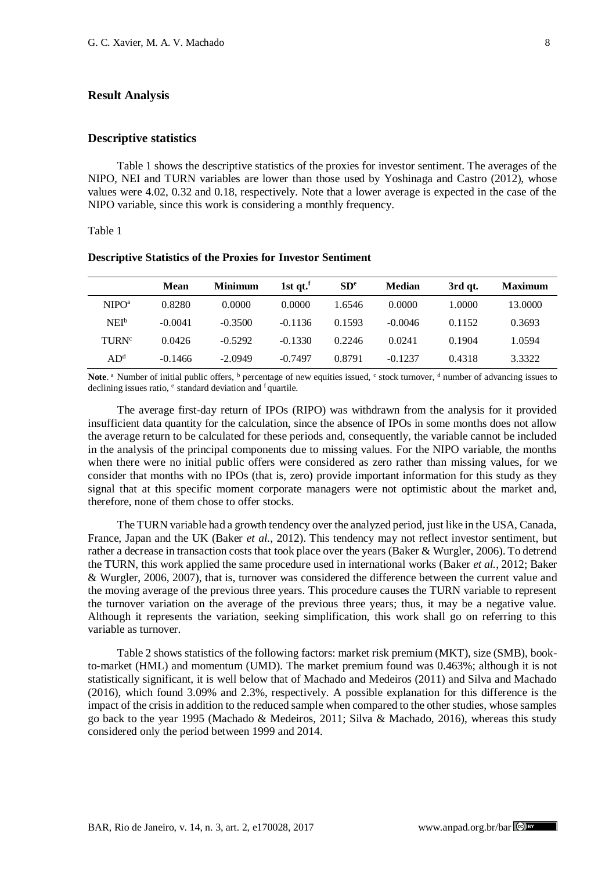#### **Result Analysis**

#### **Descriptive statistics**

Table 1 shows the descriptive statistics of the proxies for investor sentiment. The averages of the NIPO, NEI and TURN variables are lower than those used by Yoshinaga and Castro (2012), whose values were 4.02, 0.32 and 0.18, respectively. Note that a lower average is expected in the case of the NIPO variable, since this work is considering a monthly frequency.

#### Table 1

|                          | <b>Mean</b> | <b>Minimum</b> | 1st qt. $t$ | SD <sup>e</sup> | <b>Median</b> | 3rd qt. | <b>Maximum</b> |
|--------------------------|-------------|----------------|-------------|-----------------|---------------|---------|----------------|
| NIPO <sup>a</sup>        | 0.8280      | 0.0000         | 0.0000      | 1.6546          | 0.0000        | 1.0000  | 13.0000        |
| NEI <sup>b</sup>         | $-0.0041$   | $-0.3500$      | $-0.1136$   | 0.1593          | $-0.0046$     | 0.1152  | 0.3693         |
| <b>TURN</b> <sup>c</sup> | 0.0426      | $-0.5292$      | $-0.1330$   | 0.2246          | 0.0241        | 0.1904  | 1.0594         |
| AD <sup>d</sup>          | $-0.1466$   | $-2.0949$      | $-0.7497$   | 0.8791          | $-0.1237$     | 0.4318  | 3.3322         |

#### **Descriptive Statistics of the Proxies for Investor Sentiment**

Note.<sup>a</sup> Number of initial public offers, <sup>b</sup> percentage of new equities issued, <sup>c</sup> stock turnover, <sup>d</sup> number of advancing issues to declining issues ratio,  $e$  standard deviation and fquartile.

The average first-day return of IPOs (RIPO) was withdrawn from the analysis for it provided insufficient data quantity for the calculation, since the absence of IPOs in some months does not allow the average return to be calculated for these periods and, consequently, the variable cannot be included in the analysis of the principal components due to missing values. For the NIPO variable, the months when there were no initial public offers were considered as zero rather than missing values, for we consider that months with no IPOs (that is, zero) provide important information for this study as they signal that at this specific moment corporate managers were not optimistic about the market and, therefore, none of them chose to offer stocks.

The TURN variable had a growth tendency over the analyzed period, just like in the USA, Canada, France, Japan and the UK (Baker *et al.*, 2012). This tendency may not reflect investor sentiment, but rather a decrease in transaction costs that took place over the years (Baker & Wurgler, 2006). To detrend the TURN, this work applied the same procedure used in international works (Baker *et al.*, 2012; Baker & Wurgler, 2006, 2007), that is, turnover was considered the difference between the current value and the moving average of the previous three years. This procedure causes the TURN variable to represent the turnover variation on the average of the previous three years; thus, it may be a negative value. Although it represents the variation, seeking simplification, this work shall go on referring to this variable as turnover.

Table 2 shows statistics of the following factors: market risk premium (MKT), size (SMB), bookto-market (HML) and momentum (UMD). The market premium found was 0.463%; although it is not statistically significant, it is well below that of Machado and Medeiros (2011) and Silva and Machado (2016), which found 3.09% and 2.3%, respectively. A possible explanation for this difference is the impact of the crisis in addition to the reduced sample when compared to the other studies, whose samples go back to the year 1995 (Machado & Medeiros, 2011; Silva & Machado, 2016), whereas this study considered only the period between 1999 and 2014.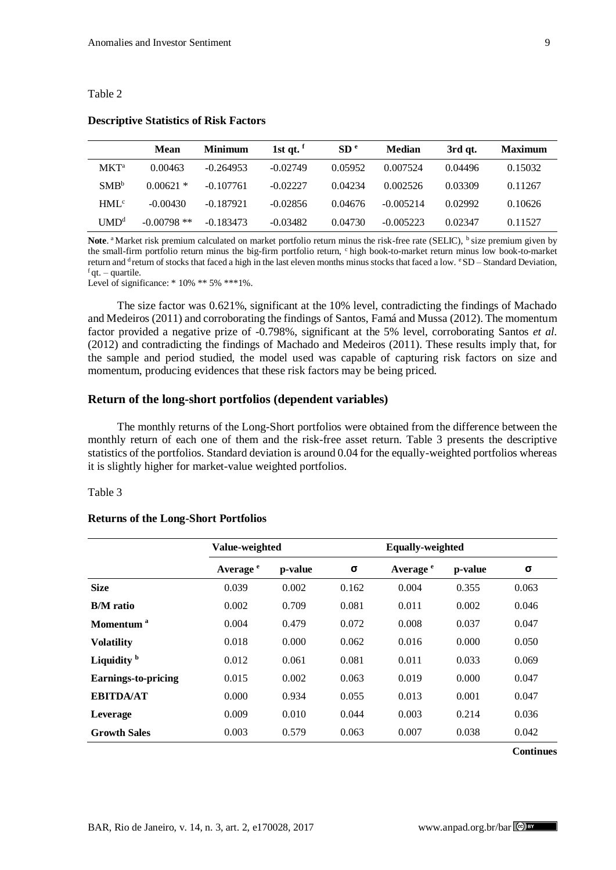#### Table 2

|                  | <b>Mean</b>   | <b>Minimum</b> | 1st qt. $T$ | SD <sup>e</sup> | <b>Median</b> | 3rd qt. | <b>Maximum</b> |
|------------------|---------------|----------------|-------------|-----------------|---------------|---------|----------------|
| $MKT^a$          | 0.00463       | $-0.264953$    | $-0.02749$  | 0.05952         | 0.007524      | 0.04496 | 0.15032        |
| SMB <sup>b</sup> | $0.00621$ *   | $-0.107761$    | $-0.02227$  | 0.04234         | 0.002526      | 0.03309 | 0.11267        |
| HML <sup>c</sup> | $-0.00430$    | $-0.187921$    | $-0.02856$  | 0.04676         | $-0.005214$   | 0.02992 | 0.10626        |
| IMD <sup>d</sup> | $-0.00798$ ** | $-0.183473$    | $-0.03482$  | 0.04730         | $-0.005223$   | 0.02347 | 0.11527        |

#### **Descriptive Statistics of Risk Factors**

Note. <sup>a</sup> Market risk premium calculated on market portfolio return minus the risk-free rate (SELIC), <sup>b</sup> size premium given by the small-firm portfolio return minus the big-firm portfolio return, chigh book-to-market return minus low book-to-market return and <sup>d</sup>return of stocks that faced a high in the last eleven months minus stocks that faced a low. <sup>e</sup>SD – Standard Deviation,  $f$ qt. – quartile.

Level of significance: \* 10% \*\* 5% \*\*\* 1%.

The size factor was 0.621%, significant at the 10% level, contradicting the findings of Machado and Medeiros (2011) and corroborating the findings of Santos, Famá and Mussa (2012). The momentum factor provided a negative prize of -0.798%, significant at the 5% level, corroborating Santos *et al.* (2012) and contradicting the findings of Machado and Medeiros (2011). These results imply that, for the sample and period studied, the model used was capable of capturing risk factors on size and momentum, producing evidences that these risk factors may be being priced.

#### **Return of the long-short portfolios (dependent variables)**

The monthly returns of the Long-Short portfolios were obtained from the difference between the monthly return of each one of them and the risk-free asset return. Table 3 presents the descriptive statistics of the portfolios. Standard deviation is around 0.04 for the equally-weighted portfolios whereas it is slightly higher for market-value weighted portfolios.

#### Table 3

## **Value-weighted Equally-weighted Average <sup>e</sup> p-value σ Average <sup>e</sup> p-value σ Size** 0.039 0.002 0.162 0.004 0.355 0.063 **B/M ratio** 0.002 0.709 0.081 0.011 0.002 0.046 **Momentum <sup>a</sup>** 0.004 0.479 0.072 0.008 0.037 0.047 **Volatility** 0.018 0.000 0.062 0.016 0.000 0.050 **Liquidity <sup>b</sup>** 0.012 0.061 0.081 0.011 0.033 0.069 **Earnings-to-pricing** 0.015 0.002 0.063 0.019 0.000 0.047 **EBITDA/AT** 0.000 0.934 0.055 0.013 0.001 0.047 **Leverage** 0.009 0.010 0.044 0.003 0.214 0.036 **Growth Sales** 0.003 0.579 0.063 0.007 0.038 0.042

#### **Returns of the Long-Short Portfolios**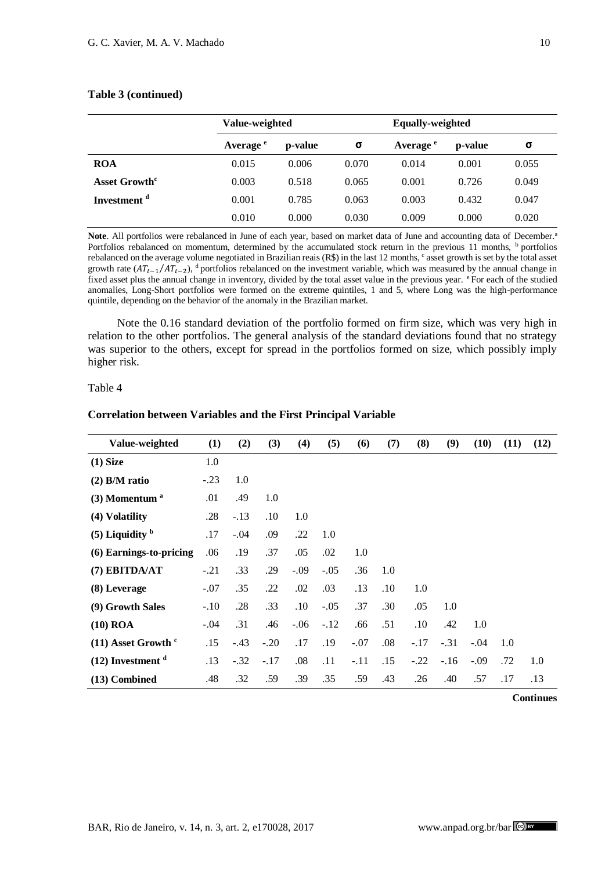#### **Table 3 (continued)**

|                           | Value-weighted       |         |       |                      |         |       |
|---------------------------|----------------------|---------|-------|----------------------|---------|-------|
|                           | Average <sup>e</sup> | p-value | σ     | Average <sup>e</sup> | p-value | σ     |
| <b>ROA</b>                | 0.015                | 0.006   | 0.070 | 0.014                | 0.001   | 0.055 |
| Asset Growth <sup>c</sup> | 0.003                | 0.518   | 0.065 | 0.001                | 0.726   | 0.049 |
| Investment <sup>d</sup>   | 0.001                | 0.785   | 0.063 | 0.003                | 0.432   | 0.047 |
|                           | 0.010                | 0.000   | 0.030 | 0.009                | 0.000   | 0.020 |

Note. All portfolios were rebalanced in June of each year, based on market data of June and accounting data of December.<sup>a</sup> Portfolios rebalanced on momentum, determined by the accumulated stock return in the previous  $11$  months,  $\overline{b}$  portfolios rebalanced on the average volume negotiated in Brazilian reais (R\$) in the last 12 months, c asset growth is set by the total asset growth rate  $(AT_{t-1}/AT_{t-2})$ , <sup>d</sup> portfolios rebalanced on the investment variable, which was measured by the annual change in fixed asset plus the annual change in inventory, divided by the total asset value in the previous year. <sup>e</sup>For each of the studied anomalies, Long-Short portfolios were formed on the extreme quintiles, 1 and 5, where Long was the high-performance quintile, depending on the behavior of the anomaly in the Brazilian market.

Note the 0.16 standard deviation of the portfolio formed on firm size, which was very high in relation to the other portfolios. The general analysis of the standard deviations found that no strategy was superior to the others, except for spread in the portfolios formed on size, which possibly imply higher risk.

Table 4

| Value-weighted                    | (1)    | (2)    | (3)    | (4)    | (5)    | (6)    | (7) | (8)     | (9)    | (10)   | (11) | (12) |
|-----------------------------------|--------|--------|--------|--------|--------|--------|-----|---------|--------|--------|------|------|
| $(1)$ Size                        | 1.0    |        |        |        |        |        |     |         |        |        |      |      |
| $(2)$ B/M ratio                   | $-.23$ | 1.0    |        |        |        |        |     |         |        |        |      |      |
| $(3)$ Momentum <sup>a</sup>       | .01    | .49    | 1.0    |        |        |        |     |         |        |        |      |      |
| (4) Volatility                    | .28    | $-.13$ | .10    | 1.0    |        |        |     |         |        |        |      |      |
| $(5)$ Liquidity $b$               | .17    | $-.04$ | .09    | .22    | 1.0    |        |     |         |        |        |      |      |
| (6) Earnings-to-pricing           | .06    | .19    | .37    | .05    | .02    | 1.0    |     |         |        |        |      |      |
| (7) EBITDA/AT                     | $-.21$ | .33    | .29    | $-.09$ | $-.05$ | .36    | 1.0 |         |        |        |      |      |
| (8) Leverage                      | $-.07$ | .35    | .22    | .02    | .03    | .13    | .10 | 1.0     |        |        |      |      |
| (9) Growth Sales                  | $-.10$ | .28    | .33    | .10    | $-.05$ | .37    | .30 | .05     | 1.0    |        |      |      |
| $(10)$ ROA                        | $-.04$ | .31    | .46    | $-.06$ | $-.12$ | .66    | .51 | $.10\,$ | .42    | 1.0    |      |      |
| $(11)$ Asset Growth $\textdegree$ | .15    | $-.43$ | $-.20$ | .17    | .19    | $-.07$ | .08 | $-.17$  | $-.31$ | $-.04$ | 1.0  |      |
| $(12)$ Investment $d$             | .13    | $-.32$ | $-.17$ | .08    | .11    | $-.11$ | .15 | $-.22$  | $-.16$ | $-.09$ | .72  | 1.0  |
| (13) Combined                     | .48    | .32    | .59    | .39    | .35    | .59    | .43 | .26     | .40    | .57    | .17  | .13  |

#### **Correlation between Variables and the First Principal Variable**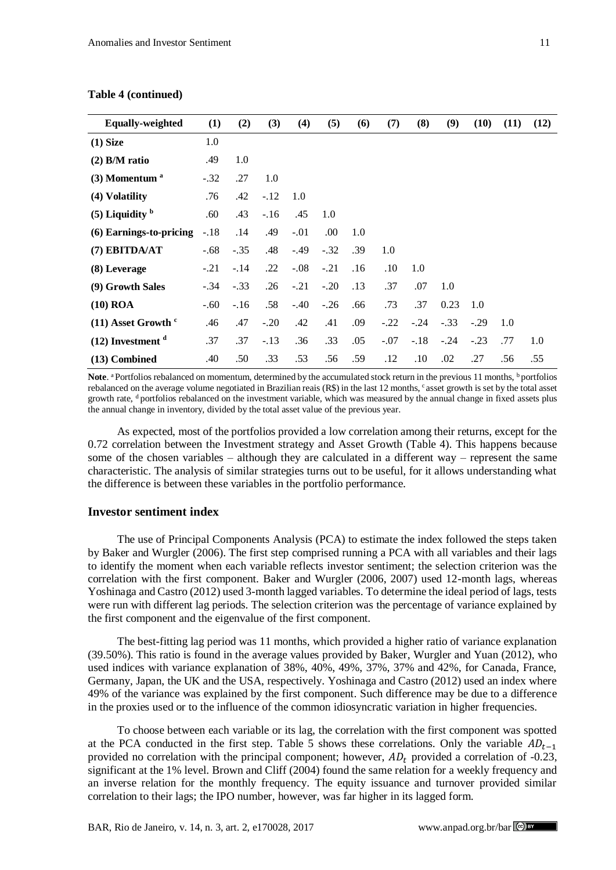|  | Table 4 (continued) |  |
|--|---------------------|--|
|--|---------------------|--|

| <b>Equally-weighted</b>     | (1)    | (2)    | (3)    | (4)    | (5)    | (6) | (7)    | (8)    | (9)    | (10)   | (11) | (12) |
|-----------------------------|--------|--------|--------|--------|--------|-----|--------|--------|--------|--------|------|------|
| $(1)$ Size                  | 1.0    |        |        |        |        |     |        |        |        |        |      |      |
| $(2)$ B/M ratio             | .49    | 1.0    |        |        |        |     |        |        |        |        |      |      |
| $(3)$ Momentum <sup>a</sup> | $-.32$ | .27    | 1.0    |        |        |     |        |        |        |        |      |      |
| (4) Volatility              | .76    | .42    | $-.12$ | 1.0    |        |     |        |        |        |        |      |      |
| $(5)$ Liquidity $b$         | .60    | .43    | $-.16$ | .45    | 1.0    |     |        |        |        |        |      |      |
| (6) Earnings-to-pricing     | $-.18$ | .14    | .49    | $-.01$ | .00.   | 1.0 |        |        |        |        |      |      |
| (7) EBITDA/AT               | $-.68$ | $-.35$ | .48    | $-.49$ | $-.32$ | .39 | 1.0    |        |        |        |      |      |
| $(8)$ Leverage              | $-.21$ | $-.14$ | .22    | $-.08$ | $-.21$ | .16 | .10    | 1.0    |        |        |      |      |
| (9) Growth Sales            | $-.34$ | $-.33$ | .26    | $-.21$ | $-.20$ | .13 | .37    | .07    | 1.0    |        |      |      |
| $(10)$ ROA                  | $-.60$ | $-.16$ | .58    | $-.40$ | $-.26$ | .66 | .73    | .37    | 0.23   | 1.0    |      |      |
| (11) Asset Growth $\rm ^c$  | .46    | .47    | $-.20$ | .42    | .41    | .09 | $-.22$ | $-.24$ | $-.33$ | $-.29$ | 1.0  |      |
| $(12)$ Investment $d$       | .37    | .37    | $-.13$ | .36    | .33    | .05 | $-.07$ | $-.18$ | $-.24$ | $-.23$ | .77  | 1.0  |
| (13) Combined               | .40    | .50    | .33    | .53    | .56    | .59 | .12    | .10    | .02    | .27    | .56  | .55  |

Note. <sup>a</sup> Portfolios rebalanced on momentum, determined by the accumulated stock return in the previous 11 months, <sup>b</sup> portfolios rebalanced on the average volume negotiated in Brazilian reais (R\$) in the last 12 months, casset growth is set by the total asset growth rate,  $d$  portfolios rebalanced on the investment variable, which was measured by the annual change in fixed assets plus the annual change in inventory, divided by the total asset value of the previous year.

As expected, most of the portfolios provided a low correlation among their returns, except for the 0.72 correlation between the Investment strategy and Asset Growth (Table 4). This happens because some of the chosen variables – although they are calculated in a different way – represent the same characteristic. The analysis of similar strategies turns out to be useful, for it allows understanding what the difference is between these variables in the portfolio performance.

#### **Investor sentiment index**

The use of Principal Components Analysis (PCA) to estimate the index followed the steps taken by Baker and Wurgler (2006). The first step comprised running a PCA with all variables and their lags to identify the moment when each variable reflects investor sentiment; the selection criterion was the correlation with the first component. Baker and Wurgler (2006, 2007) used 12-month lags, whereas Yoshinaga and Castro (2012) used 3-month lagged variables. To determine the ideal period of lags, tests were run with different lag periods. The selection criterion was the percentage of variance explained by the first component and the eigenvalue of the first component.

The best-fitting lag period was 11 months, which provided a higher ratio of variance explanation (39.50%). This ratio is found in the average values provided by Baker, Wurgler and Yuan (2012), who used indices with variance explanation of 38%, 40%, 49%, 37%, 37% and 42%, for Canada, France, Germany, Japan, the UK and the USA, respectively. Yoshinaga and Castro (2012) used an index where 49% of the variance was explained by the first component. Such difference may be due to a difference in the proxies used or to the influence of the common idiosyncratic variation in higher frequencies.

To choose between each variable or its lag, the correlation with the first component was spotted at the PCA conducted in the first step. Table 5 shows these correlations. Only the variable  $AD_{t-1}$ provided no correlation with the principal component; however,  $AD_t$  provided a correlation of -0.23, significant at the 1% level. Brown and Cliff (2004) found the same relation for a weekly frequency and an inverse relation for the monthly frequency. The equity issuance and turnover provided similar correlation to their lags; the IPO number, however, was far higher in its lagged form.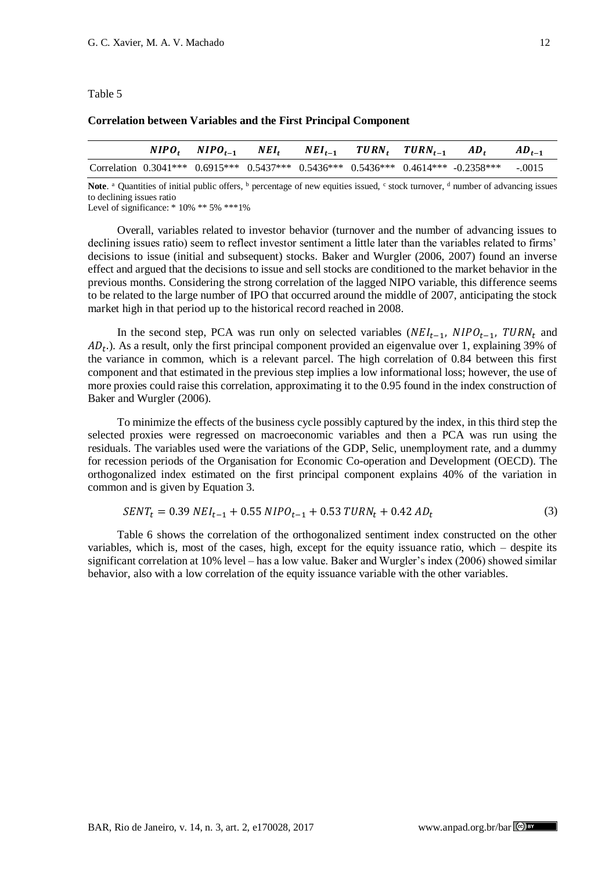#### Table 5

#### **Correlation between Variables and the First Principal Component**

|  |  |  | $NIPO_t$ $NIPO_{t-1}$ $NEI_t$ $NEI_{t-1}$ $TURN_t$ $TURN_{t-1}$ $AD_t$ $AD_{t-1}$         |  |
|--|--|--|-------------------------------------------------------------------------------------------|--|
|  |  |  | Correlation 0.3041*** 0.6915*** 0.5437*** 0.5436*** 0.5436*** 0.4614*** -0.2358*** -.0015 |  |

Note. <sup>a</sup> Quantities of initial public offers, <sup>b</sup> percentage of new equities issued, <sup>c</sup> stock turnover, <sup>d</sup> number of advancing issues to declining issues ratio

Level of significance: \* 10% \*\* 5% \*\*\*1%

Overall, variables related to investor behavior (turnover and the number of advancing issues to declining issues ratio) seem to reflect investor sentiment a little later than the variables related to firms' decisions to issue (initial and subsequent) stocks. Baker and Wurgler (2006, 2007) found an inverse effect and argued that the decisions to issue and sell stocks are conditioned to the market behavior in the previous months. Considering the strong correlation of the lagged NIPO variable, this difference seems to be related to the large number of IPO that occurred around the middle of 2007, anticipating the stock market high in that period up to the historical record reached in 2008.

In the second step, PCA was run only on selected variables ( $NEI_{t-1}$ ,  $NIPO_{t-1}$ ,  $TURN_t$  and  $AD<sub>t</sub>$ .). As a result, only the first principal component provided an eigenvalue over 1, explaining 39% of the variance in common, which is a relevant parcel. The high correlation of 0.84 between this first component and that estimated in the previous step implies a low informational loss; however, the use of more proxies could raise this correlation, approximating it to the 0.95 found in the index construction of Baker and Wurgler (2006).

To minimize the effects of the business cycle possibly captured by the index, in this third step the selected proxies were regressed on macroeconomic variables and then a PCA was run using the residuals. The variables used were the variations of the GDP, Selic, unemployment rate, and a dummy for recession periods of the Organisation for Economic Co-operation and Development (OECD). The orthogonalized index estimated on the first principal component explains 40% of the variation in common and is given by Equation 3.

$$
SENT_t = 0.39 NEI_{t-1} + 0.55 NIFO_{t-1} + 0.53 TURN_t + 0.42 AD_t
$$
\n(3)

Table 6 shows the correlation of the orthogonalized sentiment index constructed on the other variables, which is, most of the cases, high, except for the equity issuance ratio, which – despite its significant correlation at 10% level – has a low value. Baker and Wurgler's index (2006) showed similar behavior, also with a low correlation of the equity issuance variable with the other variables.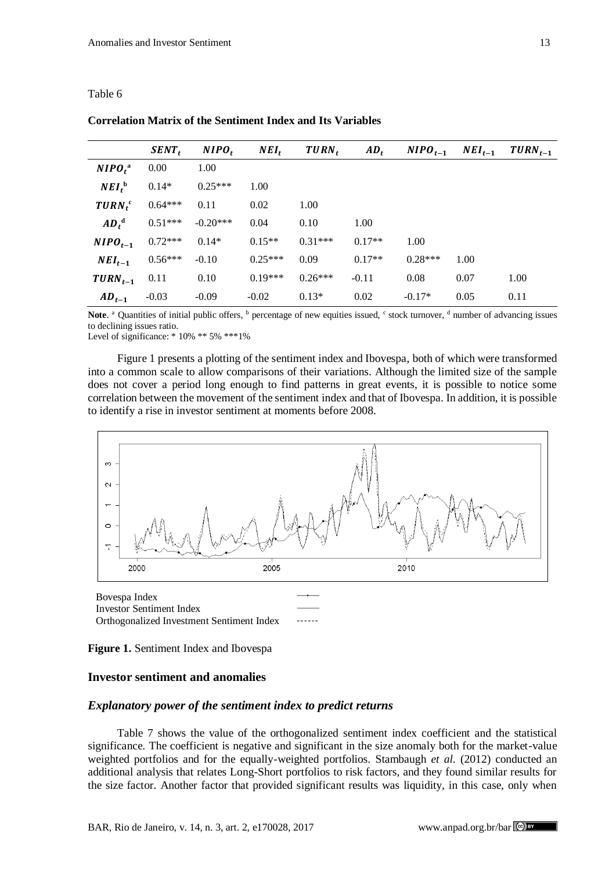#### Table 6

|                     | $SENT_t$  | $NIPO_t$   | $NEI_t$   | $TURN_t$  | $AD_t$   | $N}{PO}_{t-1}$ | $NEI_{t-1}$ | $TURN_{t-1}$ |
|---------------------|-----------|------------|-----------|-----------|----------|----------------|-------------|--------------|
| $NIPO_t^a$          | $0.00\,$  | 1.00       |           |           |          |                |             |              |
| $NEI_t^{\ b}$       | $0.14*$   | $0.25***$  | 1.00      |           |          |                |             |              |
| $TURN_t^{\text{c}}$ | $0.64***$ | 0.11       | 0.02      | 1.00      |          |                |             |              |
| $AD_t^d$            | $0.51***$ | $-0.20***$ | 0.04      | 0.10      | 1.00     |                |             |              |
| $NIPO_{t-1}$        | $0.72***$ | $0.14*$    | $0.15**$  | $0.31***$ | $0.17**$ | 1.00           |             |              |
| $NEI_{t-1}$         | $0.56***$ | $-0.10$    | $0.25***$ | 0.09      | $0.17**$ | $0.28***$      | 1.00        |              |
| $TURN_{t-1}$        | 0.11      | 0.10       | $0.19***$ | $0.26***$ | $-0.11$  | 0.08           | 0.07        | 1.00         |
| $AD_{t-1}$          | $-0.03$   | $-0.09$    | $-0.02$   | $0.13*$   | 0.02     | $-0.17*$       | 0.05        | 0.11         |

#### **Correlation Matrix of the Sentiment Index and Its Variables**

Note. <sup>a</sup> Quantities of initial public offers, <sup>b</sup> percentage of new equities issued, <sup>c</sup> stock turnover, <sup>d</sup> number of advancing issues to declining issues ratio.

Level of significance:  $* 10\%$  \*\* 5% \*\*\*1%

Figure 1 presents a plotting of the sentiment index and Ibovespa, both of which were transformed into a common scale to allow comparisons of their variations. Although the limited size of the sample does not cover a period long enough to find patterns in great events, it is possible to notice some correlation between the movement of the sentiment index and that of Ibovespa. In addition, it is possible to identify a rise in investor sentiment at moments before 2008.



Orthogonalized Investment Sentiment Index

## **Figure 1.** Sentiment Index and Ibovespa

#### **Investor sentiment and anomalies**

#### *Explanatory power of the sentiment index to predict returns*

Table 7 shows the value of the orthogonalized sentiment index coefficient and the statistical significance. The coefficient is negative and significant in the size anomaly both for the market-value weighted portfolios and for the equally-weighted portfolios. Stambaugh *et al.* (2012) conducted an additional analysis that relates Long-Short portfolios to risk factors, and they found similar results for the size factor. Another factor that provided significant results was liquidity, in this case, only when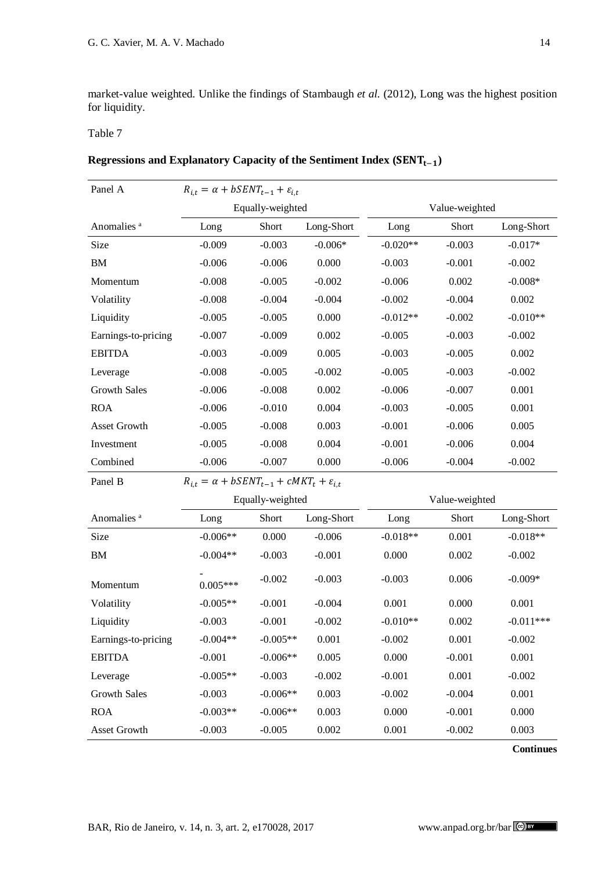market-value weighted. Unlike the findings of Stambaugh *et al.* (2012), Long was the highest position for liquidity.

## Table 7

| Panel A                | $R_{i,t} = \alpha + bSENT_{t-1} + \varepsilon_{i,t}$          |                  |            |            |                |            |
|------------------------|---------------------------------------------------------------|------------------|------------|------------|----------------|------------|
|                        |                                                               | Equally-weighted |            |            | Value-weighted |            |
| Anomalies <sup>a</sup> | Long                                                          | Short            | Long-Short | Long       | <b>Short</b>   | Long-Short |
| Size                   | $-0.009$                                                      | $-0.003$         | $-0.006*$  | $-0.020**$ | $-0.003$       | $-0.017*$  |
| <b>BM</b>              | $-0.006$                                                      | $-0.006$         | 0.000      | $-0.003$   | $-0.001$       | $-0.002$   |
| Momentum               | $-0.008$                                                      | $-0.005$         | $-0.002$   | $-0.006$   | 0.002          | $-0.008*$  |
| Volatility             | $-0.008$                                                      | $-0.004$         | $-0.004$   | $-0.002$   | $-0.004$       | 0.002      |
| Liquidity              | $-0.005$                                                      | $-0.005$         | 0.000      | $-0.012**$ | $-0.002$       | $-0.010**$ |
| Earnings-to-pricing    | $-0.007$                                                      | $-0.009$         | 0.002      | $-0.005$   | $-0.003$       | $-0.002$   |
| <b>EBITDA</b>          | $-0.003$                                                      | $-0.009$         | 0.005      | $-0.003$   | $-0.005$       | 0.002      |
| Leverage               | $-0.008$                                                      | $-0.005$         | $-0.002$   | $-0.005$   | $-0.003$       | $-0.002$   |
| <b>Growth Sales</b>    | $-0.006$                                                      | $-0.008$         | 0.002      | $-0.006$   | $-0.007$       | 0.001      |
| <b>ROA</b>             | $-0.006$                                                      | $-0.010$         | 0.004      | $-0.003$   | $-0.005$       | 0.001      |
| Asset Growth           | $-0.005$                                                      | $-0.008$         | 0.003      | $-0.001$   | $-0.006$       | 0.005      |
| Investment             | $-0.005$                                                      | $-0.008$         | 0.004      | $-0.001$   | $-0.006$       | 0.004      |
| Combined               | $-0.006$                                                      | $-0.007$         | 0.000      | $-0.006$   | $-0.004$       | $-0.002$   |
| Panel B                | $R_{i,t} = \alpha + bSENT_{t-1} + cMKT_t + \varepsilon_{i,t}$ |                  |            |            |                |            |
|                        |                                                               | Equally-weighted |            |            | Value-weighted |            |
| Anomalies <sup>a</sup> | Long                                                          | Short            | Long-Short | Long       | <b>Short</b>   | Long-Short |
| Size                   | $-0.006**$                                                    | 0.000            | $-0.006$   | $-0.018**$ | 0.001          | $-0.018**$ |
|                        |                                                               |                  |            |            |                |            |

## Regressions and Explanatory Capacity of the Sentiment Index  $(SENT_{t-1})$

BM  $-0.004**$   $-0.003$   $-0.001$   $0.000$   $0.002$   $-0.002$ Momentum -  $\frac{1}{0.005***}$  -0.002 -0.003 -0.003 0.006 -0.009\* Volatility -0.005\*\* -0.001 -0.004 0.001 0.000 0.001 Liquidity -0.003 -0.001 -0.002 -0.010\*\* 0.002 -0.011\*\*\* Earnings-to-pricing -0.004\*\* -0.005\*\* 0.001 -0.002 0.001 -0.002 EBITDA -0.001 -0.006\*\* 0.005 0.000 -0.001 0.001 Leverage  $-0.005**$   $-0.003$   $-0.002$   $-0.001$   $-0.001$   $-0.002$ Growth Sales -0.003 -0.006\*\* 0.003 -0.002 -0.004 0.001 ROA  $-0.003^{**}$   $-0.006^{**}$  0.003 0.000  $-0.001$  0.000 Asset Growth  $-0.003$   $-0.005$   $0.002$   $0.001$   $-0.002$   $0.003$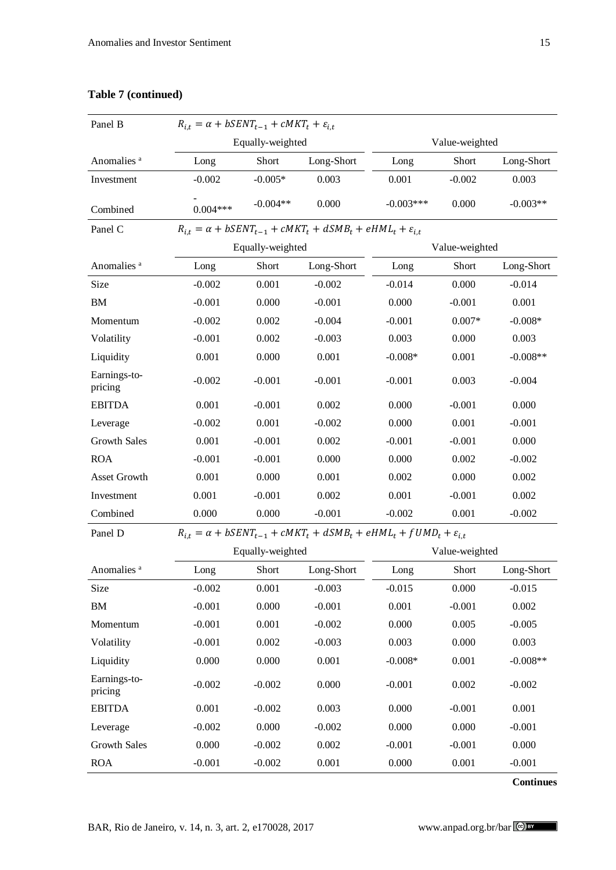| Panel B                 | $R_{i,t} = \alpha + bSENT_{t-1} + cMKT_t + \varepsilon_{i,t}$ |                  |                                                                                 |                                                                                          |                |            |
|-------------------------|---------------------------------------------------------------|------------------|---------------------------------------------------------------------------------|------------------------------------------------------------------------------------------|----------------|------------|
|                         |                                                               | Equally-weighted |                                                                                 |                                                                                          | Value-weighted |            |
| Anomalies <sup>a</sup>  | Long                                                          | Short            | Long-Short                                                                      | Long                                                                                     | Short          | Long-Short |
| Investment              | $-0.002$                                                      | $-0.005*$        | 0.003                                                                           | 0.001                                                                                    | $-0.002$       | 0.003      |
| Combined                | $0.004***$                                                    | $-0.004**$       | 0.000                                                                           | $-0.003***$                                                                              | 0.000          | $-0.003**$ |
| Panel C                 |                                                               |                  | $R_{i,t} = \alpha + bSENT_{t-1} + cMKT_t + dSMB_t + eHML_t + \varepsilon_{i,t}$ |                                                                                          |                |            |
|                         |                                                               | Equally-weighted |                                                                                 |                                                                                          | Value-weighted |            |
| Anomalies <sup>a</sup>  | Long                                                          | Short            | Long-Short                                                                      | Long                                                                                     | Short          | Long-Short |
| Size                    | $-0.002$                                                      | 0.001            | $-0.002$                                                                        | $-0.014$                                                                                 | 0.000          | $-0.014$   |
| <b>BM</b>               | $-0.001$                                                      | 0.000            | $-0.001$                                                                        | 0.000                                                                                    | $-0.001$       | 0.001      |
| Momentum                | $-0.002$                                                      | 0.002            | $-0.004$                                                                        | $-0.001$                                                                                 | $0.007*$       | $-0.008*$  |
| Volatility              | $-0.001$                                                      | 0.002            | $-0.003$                                                                        | 0.003                                                                                    | 0.000          | 0.003      |
| Liquidity               | 0.001                                                         | 0.000            | 0.001                                                                           | $-0.008*$                                                                                | 0.001          | $-0.008**$ |
| Earnings-to-<br>pricing | $-0.002$                                                      | $-0.001$         | $-0.001$                                                                        | $-0.001$                                                                                 | 0.003          | $-0.004$   |
| <b>EBITDA</b>           | 0.001                                                         | $-0.001$         | 0.002                                                                           | 0.000                                                                                    | $-0.001$       | 0.000      |
| Leverage                | $-0.002$                                                      | 0.001            | $-0.002$                                                                        | 0.000                                                                                    | 0.001          | $-0.001$   |
| <b>Growth Sales</b>     | 0.001                                                         | $-0.001$         | 0.002                                                                           | $-0.001$                                                                                 | $-0.001$       | 0.000      |
| <b>ROA</b>              | $-0.001$                                                      | $-0.001$         | 0.000                                                                           | 0.000                                                                                    | 0.002          | $-0.002$   |
| Asset Growth            | 0.001                                                         | 0.000            | 0.001                                                                           | 0.002                                                                                    | 0.000          | 0.002      |
| Investment              | 0.001                                                         | $-0.001$         | 0.002                                                                           | 0.001                                                                                    | $-0.001$       | 0.002      |
| Combined                | 0.000                                                         | 0.000            | $-0.001$                                                                        | $-0.002$                                                                                 | 0.001          | $-0.002$   |
| Panel D                 |                                                               |                  |                                                                                 | $R_{i,t} = \alpha + bSENT_{t-1} + cMKT_t + dSMB_t + eHML_t + fUMD_t + \varepsilon_{i,t}$ |                |            |

## **Table 7 (continued)**

Equally-weighted Value-weighted Anomalies<sup>a</sup> Long Short Long-Short Long Short Long-Short Size -0.002 0.001 -0.003 -0.015 0.000 -0.015 BM  $-0.001$   $0.000$   $-0.001$   $0.001$   $-0.001$   $0.002$ Momentum -0.001 0.001 -0.002 0.000 0.005 -0.005 Volatility -0.001 0.002 -0.003 0.003 0.000 0.003 Liquidity 0.000 0.000 0.001 -0.008\* 0.001 -0.008\*\* Earnings-topricing -0.002 -0.002 0.000 -0.001 0.002 -0.002 EBITDA 0.001 -0.002 0.003 0.000 -0.001 0.001 Leverage  $-0.002$   $0.000$   $-0.002$   $0.000$   $0.000$   $-0.001$ Growth Sales 0.000 -0.002 0.002 -0.001 -0.001 0.000 ROA -0.001 -0.002 0.001 0.000 0.001 -0.001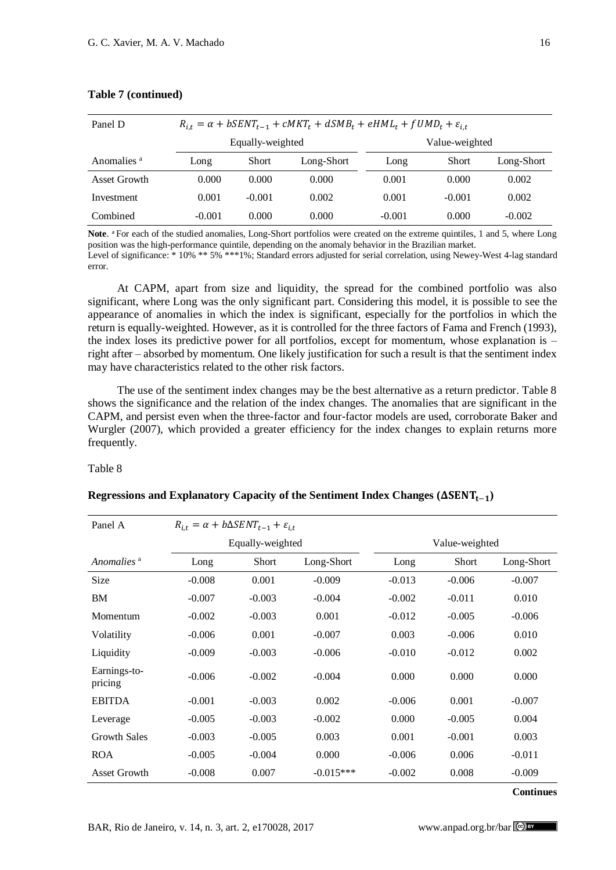| Panel D                | $R_{i,t} = \alpha + bSENT_{t-1} + cMKT_t + dSMB_t + eHML_t + fUMD_t + \varepsilon_{i,t}$ |                  |            |                |              |            |  |  |  |
|------------------------|------------------------------------------------------------------------------------------|------------------|------------|----------------|--------------|------------|--|--|--|
|                        |                                                                                          | Equally-weighted |            | Value-weighted |              |            |  |  |  |
| Anomalies <sup>a</sup> | Long                                                                                     | <b>Short</b>     | Long-Short | Long           | <b>Short</b> | Long-Short |  |  |  |
| Asset Growth           | 0.000                                                                                    | 0.000            | 0.000      | 0.001          | 0.000        | 0.002      |  |  |  |
| Investment             | 0.001                                                                                    | $-0.001$         | 0.002      | 0.001          | $-0.001$     | 0.002      |  |  |  |
| Combined               | $-0.001$                                                                                 | 0.000            | 0.000      | $-0.001$       | 0.000        | $-0.002$   |  |  |  |

#### **Table 7 (continued)**

Note. <sup>a</sup> For each of the studied anomalies, Long-Short portfolios were created on the extreme quintiles, 1 and 5, where Long position was the high-performance quintile, depending on the anomaly behavior in the Brazilian market. Level of significance: \* 10% \*\* 5% \*\*\*1%; Standard errors adjusted for serial correlation, using Newey-West 4-lag standard error.

At CAPM, apart from size and liquidity, the spread for the combined portfolio was also significant, where Long was the only significant part. Considering this model, it is possible to see the appearance of anomalies in which the index is significant, especially for the portfolios in which the return is equally-weighted. However, as it is controlled for the three factors of Fama and French (1993), the index loses its predictive power for all portfolios, except for momentum, whose explanation is – right after – absorbed by momentum. One likely justification for such a result is that the sentiment index may have characteristics related to the other risk factors.

The use of the sentiment index changes may be the best alternative as a return predictor. Table 8 shows the significance and the relation of the index changes. The anomalies that are significant in the CAPM, and persist even when the three-factor and four-factor models are used, corroborate Baker and Wurgler (2007), which provided a greater efficiency for the index changes to explain returns more frequently.

Table 8

| Panel A                 | $R_{i,t} = \alpha + b\Delta SENT_{t-1} + \varepsilon_{i,t}$ |                  |             |          |                |            |  |  |
|-------------------------|-------------------------------------------------------------|------------------|-------------|----------|----------------|------------|--|--|
|                         |                                                             | Equally-weighted |             |          | Value-weighted |            |  |  |
| Anomalies <sup>a</sup>  | Long                                                        | Short            | Long-Short  | Long     | Short          | Long-Short |  |  |
| Size                    | $-0.008$                                                    | 0.001            | $-0.009$    | $-0.013$ | $-0.006$       | $-0.007$   |  |  |
| BM                      | $-0.007$                                                    | $-0.003$         | $-0.004$    | $-0.002$ | $-0.011$       | 0.010      |  |  |
| Momentum                | $-0.002$                                                    | $-0.003$         | 0.001       | $-0.012$ | $-0.005$       | $-0.006$   |  |  |
| Volatility              | $-0.006$                                                    | 0.001            | $-0.007$    | 0.003    | $-0.006$       | 0.010      |  |  |
| Liquidity               | $-0.009$                                                    | $-0.003$         | $-0.006$    | $-0.010$ | $-0.012$       | 0.002      |  |  |
| Earnings-to-<br>pricing | $-0.006$                                                    | $-0.002$         | $-0.004$    | 0.000    | 0.000          | 0.000      |  |  |
| <b>EBITDA</b>           | $-0.001$                                                    | $-0.003$         | 0.002       | $-0.006$ | 0.001          | $-0.007$   |  |  |
| Leverage                | $-0.005$                                                    | $-0.003$         | $-0.002$    | 0.000    | $-0.005$       | 0.004      |  |  |
| <b>Growth Sales</b>     | $-0.003$                                                    | $-0.005$         | 0.003       | 0.001    | $-0.001$       | 0.003      |  |  |
| <b>ROA</b>              | $-0.005$                                                    | $-0.004$         | 0.000       | $-0.006$ | 0.006          | $-0.011$   |  |  |
| <b>Asset Growth</b>     | $-0.008$                                                    | 0.007            | $-0.015***$ | $-0.002$ | 0.008          | $-0.009$   |  |  |

#### **Regressions and Explanatory Capacity of the Sentiment Index Changes (** $\Delta$ **SENT<sub>t-1</sub>)**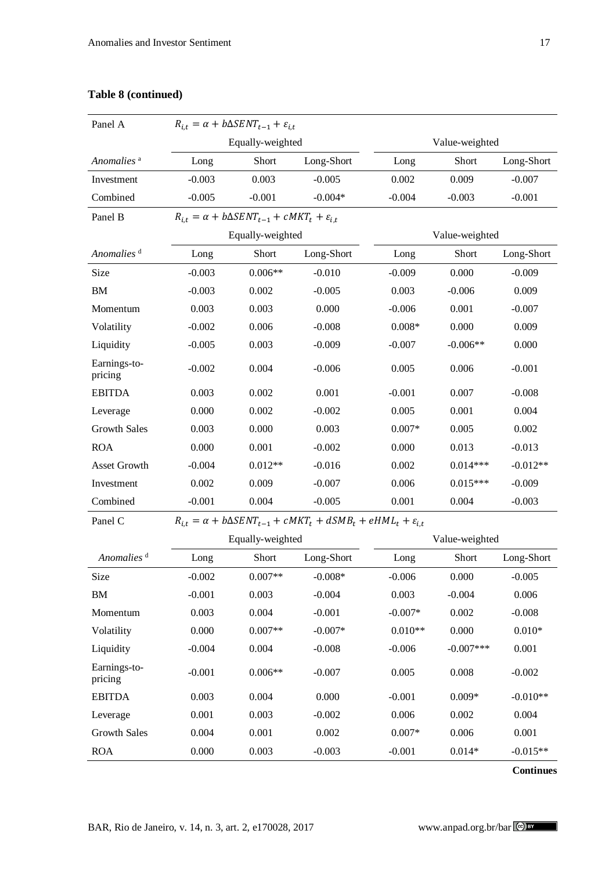| Panel A                 |          | $R_{i,t} = \alpha + b\Delta SENT_{t-1} + \varepsilon_{i,t}$                            |            |                |                |            |  |  |  |
|-------------------------|----------|----------------------------------------------------------------------------------------|------------|----------------|----------------|------------|--|--|--|
|                         |          | Equally-weighted                                                                       |            |                | Value-weighted |            |  |  |  |
| Anomalies <sup>a</sup>  | Long     | Short                                                                                  | Long-Short | Long           | Short          | Long-Short |  |  |  |
| Investment              | $-0.003$ | 0.003                                                                                  | $-0.005$   | 0.002          | 0.009          | $-0.007$   |  |  |  |
| Combined                | $-0.005$ | $-0.001$                                                                               | $-0.004*$  | $-0.004$       | $-0.003$       | $-0.001$   |  |  |  |
| Panel B                 |          | $R_{i,t} = \alpha + b\Delta SENT_{t-1} + cMKT_t + \varepsilon_{i,t}$                   |            |                |                |            |  |  |  |
|                         |          | Equally-weighted                                                                       |            |                | Value-weighted |            |  |  |  |
| Anomalies <sup>d</sup>  | Long     | Short                                                                                  | Long-Short | Long           | Short          | Long-Short |  |  |  |
| Size                    | $-0.003$ | $0.006**$                                                                              | $-0.010$   | $-0.009$       | 0.000          | $-0.009$   |  |  |  |
| <b>BM</b>               | $-0.003$ | 0.002                                                                                  | $-0.005$   | 0.003          | $-0.006$       | 0.009      |  |  |  |
| Momentum                | 0.003    | 0.003                                                                                  | 0.000      | $-0.006$       | 0.001          | $-0.007$   |  |  |  |
| Volatility              | $-0.002$ | 0.006                                                                                  | $-0.008$   | $0.008*$       | 0.000          | 0.009      |  |  |  |
| Liquidity               | $-0.005$ | 0.003                                                                                  | $-0.009$   | $-0.007$       | $-0.006**$     | 0.000      |  |  |  |
| Earnings-to-<br>pricing | $-0.002$ | 0.004                                                                                  | $-0.006$   | 0.005          | 0.006          | $-0.001$   |  |  |  |
| <b>EBITDA</b>           | 0.003    | 0.002                                                                                  | 0.001      | $-0.001$       | 0.007          | $-0.008$   |  |  |  |
| Leverage                | 0.000    | 0.002                                                                                  | $-0.002$   | 0.005          | 0.001          | 0.004      |  |  |  |
| <b>Growth Sales</b>     | 0.003    | 0.000                                                                                  | 0.003      | $0.007*$       | 0.005          | 0.002      |  |  |  |
| <b>ROA</b>              | 0.000    | 0.001                                                                                  | $-0.002$   | 0.000          | 0.013          | $-0.013$   |  |  |  |
| Asset Growth            | $-0.004$ | $0.012**$                                                                              | $-0.016$   | 0.002          | $0.014***$     | $-0.012**$ |  |  |  |
| Investment              | 0.002    | 0.009                                                                                  | $-0.007$   | 0.006          | $0.015***$     | $-0.009$   |  |  |  |
| Combined                | $-0.001$ | 0.004                                                                                  | $-0.005$   | 0.001          | 0.004          | $-0.003$   |  |  |  |
| Panel C                 |          | $R_{i,t} = \alpha + b\Delta SENT_{t-1} + cMKT_t + dSMB_t + eHML_t + \varepsilon_{i,t}$ |            |                |                |            |  |  |  |
|                         |          | Equally-weighted                                                                       |            | Value-weighted |                |            |  |  |  |
| Anomalies <sup>d</sup>  | Long     | Short                                                                                  | Long-Short | Long           | Short          | Long-Short |  |  |  |
| Size                    | $-0.002$ | $0.007**$                                                                              | $-0.008*$  | $-0.006$       | 0.000          | $-0.005$   |  |  |  |
| BM                      | $-0.001$ | 0.003                                                                                  | $-0.004$   | 0.003          | $-0.004$       | 0.006      |  |  |  |
| Momentum                | 0.003    | 0.004                                                                                  | $-0.001$   | $-0.007*$      | 0.002          | $-0.008$   |  |  |  |
| Volatility              | 0.000    | $0.007**$                                                                              | $-0.007*$  | $0.010**$      | 0.000          | $0.010*$   |  |  |  |

Liquidity -0.004 0.004 -0.008 -0.006 -0.007\*\*\* 0.001

Earnings-to-<br>pricing -0.001 0.006\*\* -0.007 0.005 0.008 -0.002

 $EBITDA$  0.003 0.004 0.000 -0.001 0.009\* -0.010\*\* Leverage 0.001 0.003 -0.002 0.006 0.002 0.004 Growth Sales 0.004 0.001 0.002 0.007\* 0.006 0.001 ROA  $0.000$   $0.003$   $-0.003$   $-0.001$   $0.014*$   $-0.015**$ 

## **Table 8 (continued)**

BAR, Rio de Janeiro, v. 14, n. 3, art. 2, e170028, 2017 www.anpad.org.br/bar [ce] EV

Earnings-to-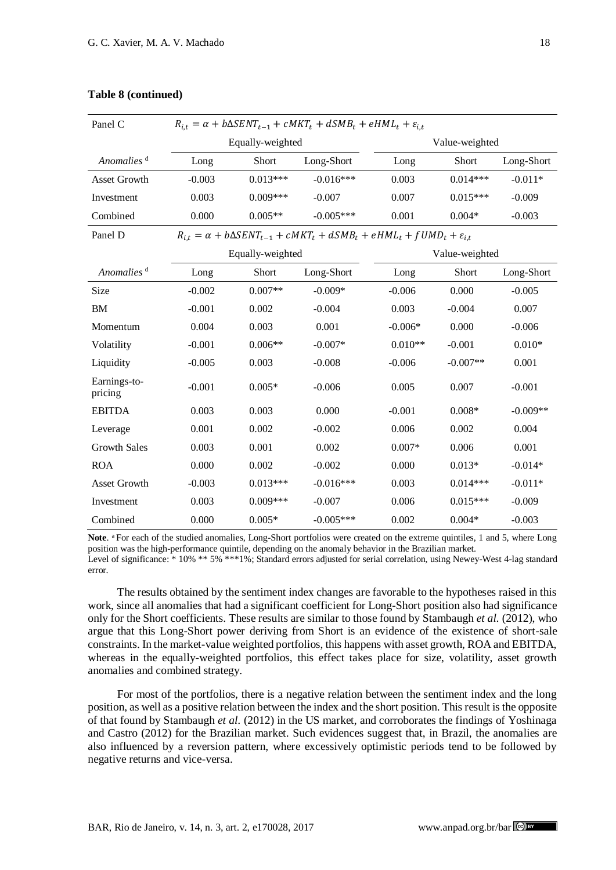| Panel C                 | $R_{i,t} = \alpha + b\Delta SENT_{t-1} + cMKT_t + dSMB_t + eHML_t + \varepsilon_{i,t}$ |                  |                                                                                                 |           |                |            |  |  |
|-------------------------|----------------------------------------------------------------------------------------|------------------|-------------------------------------------------------------------------------------------------|-----------|----------------|------------|--|--|
|                         | Equally-weighted                                                                       |                  |                                                                                                 |           | Value-weighted |            |  |  |
| Anomalies <sup>d</sup>  | Long                                                                                   | Short            | Long-Short                                                                                      | Long      | Short          | Long-Short |  |  |
| Asset Growth            | $-0.003$                                                                               | $0.013***$       | $-0.016***$                                                                                     | 0.003     | $0.014***$     | $-0.011*$  |  |  |
| Investment              | 0.003                                                                                  | $0.009***$       | $-0.007$                                                                                        | 0.007     | $0.015***$     | $-0.009$   |  |  |
| Combined                | 0.000                                                                                  | $0.005**$        | $-0.005***$                                                                                     | 0.001     | $0.004*$       | $-0.003$   |  |  |
| Panel D                 |                                                                                        |                  | $R_{i,t} = \alpha + b\Delta SENT_{t-1} + cMKT_t + dSMB_t + eHML_t + fUMD_t + \varepsilon_{i,t}$ |           |                |            |  |  |
|                         |                                                                                        | Equally-weighted |                                                                                                 |           | Value-weighted |            |  |  |
| Anomalies <sup>d</sup>  | Long                                                                                   | Short            | Long-Short                                                                                      | Long      | Short          | Long-Short |  |  |
| Size                    | $-0.002$                                                                               | $0.007**$        | $-0.009*$                                                                                       | $-0.006$  | 0.000          | $-0.005$   |  |  |
| <b>BM</b>               | $-0.001$                                                                               | 0.002            | $-0.004$                                                                                        | 0.003     | $-0.004$       | 0.007      |  |  |
| Momentum                | 0.004                                                                                  | 0.003            | 0.001                                                                                           | $-0.006*$ | 0.000          | $-0.006$   |  |  |
| Volatility              | $-0.001$                                                                               | $0.006**$        | $-0.007*$                                                                                       | $0.010**$ | $-0.001$       | $0.010*$   |  |  |
| Liquidity               | $-0.005$                                                                               | 0.003            | $-0.008$                                                                                        | $-0.006$  | $-0.007**$     | 0.001      |  |  |
| Earnings-to-<br>pricing | $-0.001$                                                                               | $0.005*$         | $-0.006$                                                                                        | 0.005     | 0.007          | $-0.001$   |  |  |
| <b>EBITDA</b>           | 0.003                                                                                  | 0.003            | 0.000                                                                                           | $-0.001$  | $0.008*$       | $-0.009**$ |  |  |
| Leverage                | 0.001                                                                                  | 0.002            | $-0.002$                                                                                        | 0.006     | 0.002          | 0.004      |  |  |
| <b>Growth Sales</b>     | 0.003                                                                                  | 0.001            | 0.002                                                                                           | $0.007*$  | 0.006          | 0.001      |  |  |
| <b>ROA</b>              | 0.000                                                                                  | 0.002            | $-0.002$                                                                                        | 0.000     | $0.013*$       | $-0.014*$  |  |  |
| Asset Growth            | $-0.003$                                                                               | $0.013***$       | $-0.016***$                                                                                     | 0.003     | $0.014***$     | $-0.011*$  |  |  |
| Investment              | 0.003                                                                                  | $0.009***$       | $-0.007$                                                                                        | 0.006     | $0.015***$     | $-0.009$   |  |  |
| Combined                | 0.000                                                                                  | $0.005*$         | $-0.005***$                                                                                     | 0.002     | $0.004*$       | $-0.003$   |  |  |

#### **Table 8 (continued)**

Note. <sup>a</sup> For each of the studied anomalies, Long-Short portfolios were created on the extreme quintiles, 1 and 5, where Long position was the high-performance quintile, depending on the anomaly behavior in the Brazilian market.

Level of significance: \* 10% \*\* 5% \*\*\*1%; Standard errors adjusted for serial correlation, using Newey-West 4-lag standard error.

The results obtained by the sentiment index changes are favorable to the hypotheses raised in this work, since all anomalies that had a significant coefficient for Long-Short position also had significance only for the Short coefficients. These results are similar to those found by Stambaugh *et al.* (2012), who argue that this Long-Short power deriving from Short is an evidence of the existence of short-sale constraints. In the market-value weighted portfolios, this happens with asset growth, ROA and EBITDA, whereas in the equally-weighted portfolios, this effect takes place for size, volatility, asset growth anomalies and combined strategy.

For most of the portfolios, there is a negative relation between the sentiment index and the long position, as well as a positive relation between the index and the short position. This result is the opposite of that found by Stambaugh *et al.* (2012) in the US market, and corroborates the findings of Yoshinaga and Castro (2012) for the Brazilian market. Such evidences suggest that, in Brazil, the anomalies are also influenced by a reversion pattern, where excessively optimistic periods tend to be followed by negative returns and vice-versa.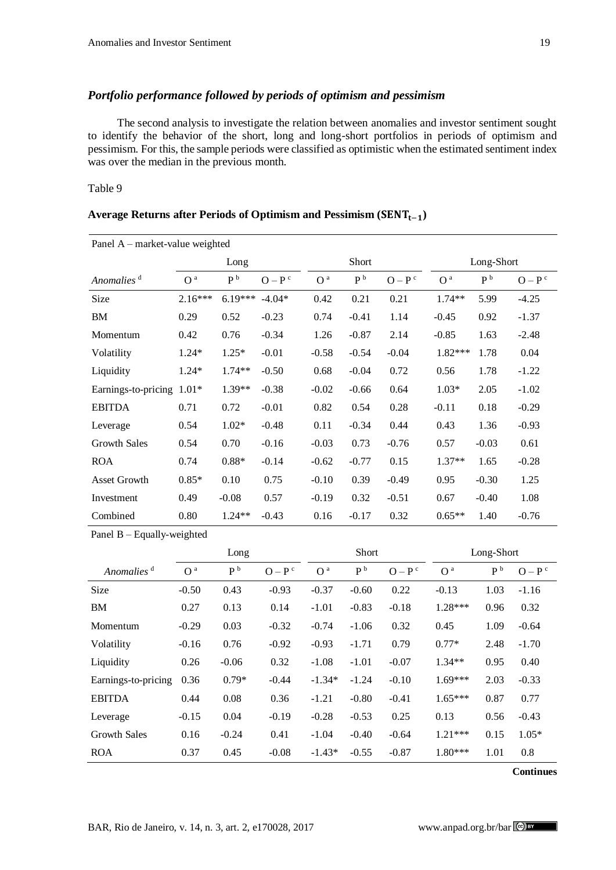## *Portfolio performance followed by periods of optimism and pessimism*

The second analysis to investigate the relation between anomalies and investor sentiment sought to identify the behavior of the short, long and long-short portfolios in periods of optimism and pessimism. For this, the sample periods were classified as optimistic when the estimated sentiment index was over the median in the previous month.

#### Table 9

## Average Returns after Periods of Optimism and Pessimism  $(SENT_{t-1})$

| Panel $A$ – market-value weighted |                |                |          |                |                |         |                |                |         |
|-----------------------------------|----------------|----------------|----------|----------------|----------------|---------|----------------|----------------|---------|
|                                   | Long           |                |          | Short          |                |         | Long-Short     |                |         |
| Anomalies <sup>d</sup>            | O <sup>a</sup> | P <sup>b</sup> | $O-Pc$   | O <sup>a</sup> | P <sup>b</sup> | $O-Pc$  | O <sup>a</sup> | P <sup>b</sup> | $O-Pc$  |
| Size                              | $2.16***$      | $6.19***$      | $-4.04*$ | 0.42           | 0.21           | 0.21    | $1.74**$       | 5.99           | $-4.25$ |
| <b>BM</b>                         | 0.29           | 0.52           | $-0.23$  | 0.74           | $-0.41$        | 1.14    | $-0.45$        | 0.92           | $-1.37$ |
| Momentum                          | 0.42           | 0.76           | $-0.34$  | 1.26           | $-0.87$        | 2.14    | $-0.85$        | 1.63           | $-2.48$ |
| Volatility                        | $1.24*$        | $1.25*$        | $-0.01$  | $-0.58$        | $-0.54$        | $-0.04$ | $1.82***$      | 1.78           | 0.04    |
| Liquidity                         | $1.24*$        | $1.74**$       | $-0.50$  | 0.68           | $-0.04$        | 0.72    | 0.56           | 1.78           | $-1.22$ |
| Earnings-to-pricing 1.01*         |                | 1.39**         | $-0.38$  | $-0.02$        | $-0.66$        | 0.64    | $1.03*$        | 2.05           | $-1.02$ |
| <b>EBITDA</b>                     | 0.71           | 0.72           | $-0.01$  | 0.82           | 0.54           | 0.28    | $-0.11$        | 0.18           | $-0.29$ |
| Leverage                          | 0.54           | $1.02*$        | $-0.48$  | 0.11           | $-0.34$        | 0.44    | 0.43           | 1.36           | $-0.93$ |
| <b>Growth Sales</b>               | 0.54           | 0.70           | $-0.16$  | $-0.03$        | 0.73           | $-0.76$ | 0.57           | $-0.03$        | 0.61    |
| <b>ROA</b>                        | 0.74           | $0.88*$        | $-0.14$  | $-0.62$        | $-0.77$        | 0.15    | $1.37**$       | 1.65           | $-0.28$ |
| <b>Asset Growth</b>               | $0.85*$        | 0.10           | 0.75     | $-0.10$        | 0.39           | $-0.49$ | 0.95           | $-0.30$        | 1.25    |
| Investment                        | 0.49           | $-0.08$        | 0.57     | $-0.19$        | 0.32           | $-0.51$ | 0.67           | $-0.40$        | 1.08    |
| Combined                          | 0.80           | $1.24**$       | $-0.43$  | 0.16           | $-0.17$        | 0.32    | $0.65**$       | 1.40           | $-0.76$ |

Panel B – Equally-weighted

|                        | Long           |                |           | <b>Short</b>   |                |           | Long-Short     |                |         |
|------------------------|----------------|----------------|-----------|----------------|----------------|-----------|----------------|----------------|---------|
| Anomalies <sup>d</sup> | O <sup>a</sup> | P <sub>b</sub> | $Q - P^c$ | O <sup>a</sup> | P <sub>b</sub> | $Q - P^c$ | O <sup>a</sup> | P <sub>b</sub> | $O-Pc$  |
| Size                   | $-0.50$        | 0.43           | $-0.93$   | $-0.37$        | $-0.60$        | 0.22      | $-0.13$        | 1.03           | $-1.16$ |
| <b>BM</b>              | 0.27           | 0.13           | 0.14      | $-1.01$        | $-0.83$        | $-0.18$   | $1.28***$      | 0.96           | 0.32    |
| Momentum               | $-0.29$        | 0.03           | $-0.32$   | $-0.74$        | $-1.06$        | 0.32      | 0.45           | 1.09           | $-0.64$ |
| Volatility             | $-0.16$        | 0.76           | $-0.92$   | $-0.93$        | $-1.71$        | 0.79      | $0.77*$        | 2.48           | $-1.70$ |
| Liquidity              | 0.26           | $-0.06$        | 0.32      | $-1.08$        | $-1.01$        | $-0.07$   | $1.34**$       | 0.95           | 0.40    |
| Earnings-to-pricing    | 0.36           | $0.79*$        | $-0.44$   | $-1.34*$       | $-1.24$        | $-0.10$   | $1.69***$      | 2.03           | $-0.33$ |
| <b>EBITDA</b>          | 0.44           | 0.08           | 0.36      | $-1.21$        | $-0.80$        | $-0.41$   | $1.65***$      | 0.87           | 0.77    |
| Leverage               | $-0.15$        | 0.04           | $-0.19$   | $-0.28$        | $-0.53$        | 0.25      | 0.13           | 0.56           | $-0.43$ |
| <b>Growth Sales</b>    | 0.16           | $-0.24$        | 0.41      | $-1.04$        | $-0.40$        | $-0.64$   | $1.21***$      | 0.15           | $1.05*$ |
| <b>ROA</b>             | 0.37           | 0.45           | $-0.08$   | $-1.43*$       | $-0.55$        | $-0.87$   | $1.80***$      | 1.01           | 0.8     |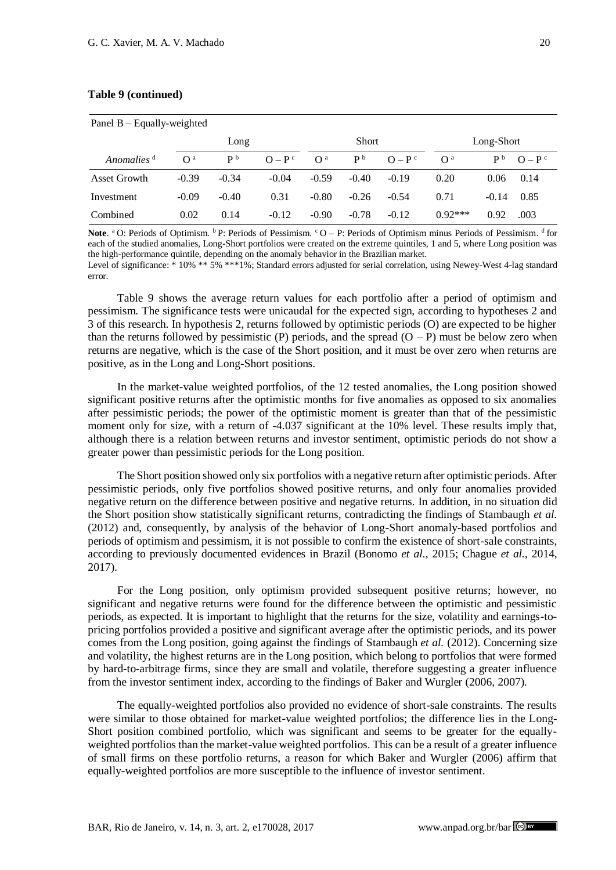| Panel $B -$ Equally-weighted |                |                    |           |              |                           |           |            |                           |           |  |
|------------------------------|----------------|--------------------|-----------|--------------|---------------------------|-----------|------------|---------------------------|-----------|--|
|                              | Long           |                    |           | <b>Short</b> |                           |           | Long-Short |                           |           |  |
| Anomalies <sup>d</sup>       | O <sup>a</sup> | $\mathbf{p}^{\,b}$ | $Q - P^c$ | $\Omega^a$   | $\mathbf{p}^{\mathsf{b}}$ | $Q - P^c$ | $\Omega^a$ | $\mathbf{p}^{\mathsf{b}}$ | $Q - P^c$ |  |
| Asset Growth                 | $-0.39$        | $-0.34$            | $-0.04$   | $-0.59$      | $-0.40$                   | $-0.19$   | 0.20       | 0.06                      | 0.14      |  |
| Investment                   | $-0.09$        | $-0.40$            | 0.31      | $-0.80$      | $-0.26$                   | $-0.54$   | 0.71       | $-0.14$                   | 0.85      |  |
| Combined                     | 0.02           | 0.14               | $-0.12$   | $-0.90$      | $-0.78$                   | $-0.12$   | $0.92***$  | 0.92                      | .003      |  |

#### **Table 9 (continued)**

Note. <sup>a</sup> O: Periods of Optimism. <sup>b</sup> P: Periods of Pessimism. <sup>c</sup> O – P: Periods of Optimism minus Periods of Pessimism. <sup>d</sup> for each of the studied anomalies, Long-Short portfolios were created on the extreme quintiles, 1 and 5, where Long position was the high-performance quintile, depending on the anomaly behavior in the Brazilian market.

Level of significance:  $*$  10%  $**$  5%  $**$  1%; Standard errors adjusted for serial correlation, using Newey-West 4-lag standard error.

Table 9 shows the average return values for each portfolio after a period of optimism and pessimism. The significance tests were unicaudal for the expected sign, according to hypotheses 2 and 3 of this research. In hypothesis 2, returns followed by optimistic periods (O) are expected to be higher than the returns followed by pessimistic (P) periods, and the spread  $(O - P)$  must be below zero when returns are negative, which is the case of the Short position, and it must be over zero when returns are positive, as in the Long and Long-Short positions.

In the market-value weighted portfolios, of the 12 tested anomalies, the Long position showed significant positive returns after the optimistic months for five anomalies as opposed to six anomalies after pessimistic periods; the power of the optimistic moment is greater than that of the pessimistic moment only for size, with a return of -4.037 significant at the 10% level. These results imply that, although there is a relation between returns and investor sentiment, optimistic periods do not show a greater power than pessimistic periods for the Long position.

The Short position showed only six portfolios with a negative return after optimistic periods. After pessimistic periods, only five portfolios showed positive returns, and only four anomalies provided negative return on the difference between positive and negative returns. In addition, in no situation did the Short position show statistically significant returns, contradicting the findings of Stambaugh *et al.* (2012) and, consequently, by analysis of the behavior of Long-Short anomaly-based portfolios and periods of optimism and pessimism, it is not possible to confirm the existence of short-sale constraints, according to previously documented evidences in Brazil (Bonomo *et al.*, 2015; Chague *et al.,* 2014, 2017).

For the Long position, only optimism provided subsequent positive returns; however, no significant and negative returns were found for the difference between the optimistic and pessimistic periods, as expected. It is important to highlight that the returns for the size, volatility and earnings-topricing portfolios provided a positive and significant average after the optimistic periods, and its power comes from the Long position, going against the findings of Stambaugh *et al.* (2012). Concerning size and volatility, the highest returns are in the Long position, which belong to portfolios that were formed by hard-to-arbitrage firms, since they are small and volatile, therefore suggesting a greater influence from the investor sentiment index, according to the findings of Baker and Wurgler (2006, 2007).

The equally-weighted portfolios also provided no evidence of short-sale constraints. The results were similar to those obtained for market-value weighted portfolios; the difference lies in the Long-Short position combined portfolio, which was significant and seems to be greater for the equallyweighted portfolios than the market-value weighted portfolios. This can be a result of a greater influence of small firms on these portfolio returns, a reason for which Baker and Wurgler (2006) affirm that equally-weighted portfolios are more susceptible to the influence of investor sentiment.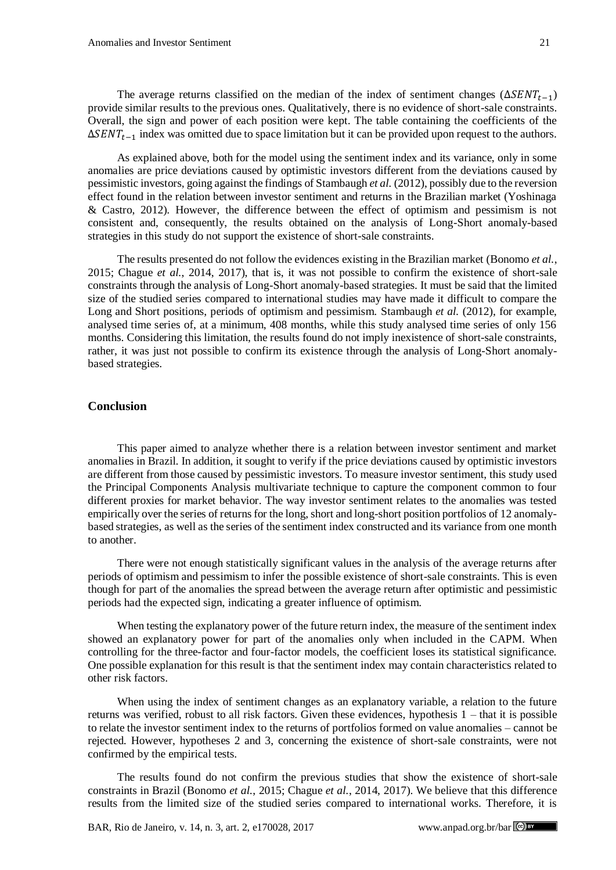The average returns classified on the median of the index of sentiment changes ( $\Delta SENT_{t-1}$ ) provide similar results to the previous ones. Qualitatively, there is no evidence of short-sale constraints. Overall, the sign and power of each position were kept. The table containing the coefficients of the  $\Delta SENT_{t-1}$  index was omitted due to space limitation but it can be provided upon request to the authors.

As explained above, both for the model using the sentiment index and its variance, only in some anomalies are price deviations caused by optimistic investors different from the deviations caused by pessimistic investors, going against the findings of Stambaugh *et al.* (2012), possibly due to the reversion effect found in the relation between investor sentiment and returns in the Brazilian market (Yoshinaga & Castro, 2012). However, the difference between the effect of optimism and pessimism is not consistent and, consequently, the results obtained on the analysis of Long-Short anomaly-based strategies in this study do not support the existence of short-sale constraints.

The results presented do not follow the evidences existing in the Brazilian market (Bonomo *et al.*, 2015; Chague *et al.*, 2014, 2017), that is, it was not possible to confirm the existence of short-sale constraints through the analysis of Long-Short anomaly-based strategies. It must be said that the limited size of the studied series compared to international studies may have made it difficult to compare the Long and Short positions, periods of optimism and pessimism. Stambaugh *et al.* (2012), for example, analysed time series of, at a minimum, 408 months, while this study analysed time series of only 156 months. Considering this limitation, the results found do not imply inexistence of short-sale constraints, rather, it was just not possible to confirm its existence through the analysis of Long-Short anomalybased strategies.

## **Conclusion**

This paper aimed to analyze whether there is a relation between investor sentiment and market anomalies in Brazil. In addition, it sought to verify if the price deviations caused by optimistic investors are different from those caused by pessimistic investors. To measure investor sentiment, this study used the Principal Components Analysis multivariate technique to capture the component common to four different proxies for market behavior. The way investor sentiment relates to the anomalies was tested empirically over the series of returns for the long, short and long-short position portfolios of 12 anomalybased strategies, as well as the series of the sentiment index constructed and its variance from one month to another.

There were not enough statistically significant values in the analysis of the average returns after periods of optimism and pessimism to infer the possible existence of short-sale constraints. This is even though for part of the anomalies the spread between the average return after optimistic and pessimistic periods had the expected sign, indicating a greater influence of optimism.

When testing the explanatory power of the future return index, the measure of the sentiment index showed an explanatory power for part of the anomalies only when included in the CAPM. When controlling for the three-factor and four-factor models, the coefficient loses its statistical significance. One possible explanation for this result is that the sentiment index may contain characteristics related to other risk factors.

When using the index of sentiment changes as an explanatory variable, a relation to the future returns was verified, robust to all risk factors. Given these evidences, hypothesis 1 – that it is possible to relate the investor sentiment index to the returns of portfolios formed on value anomalies – cannot be rejected. However, hypotheses 2 and 3, concerning the existence of short-sale constraints, were not confirmed by the empirical tests.

The results found do not confirm the previous studies that show the existence of short-sale constraints in Brazil (Bonomo *et al.*, 2015; Chague *et al.*, 2014, 2017). We believe that this difference results from the limited size of the studied series compared to international works. Therefore, it is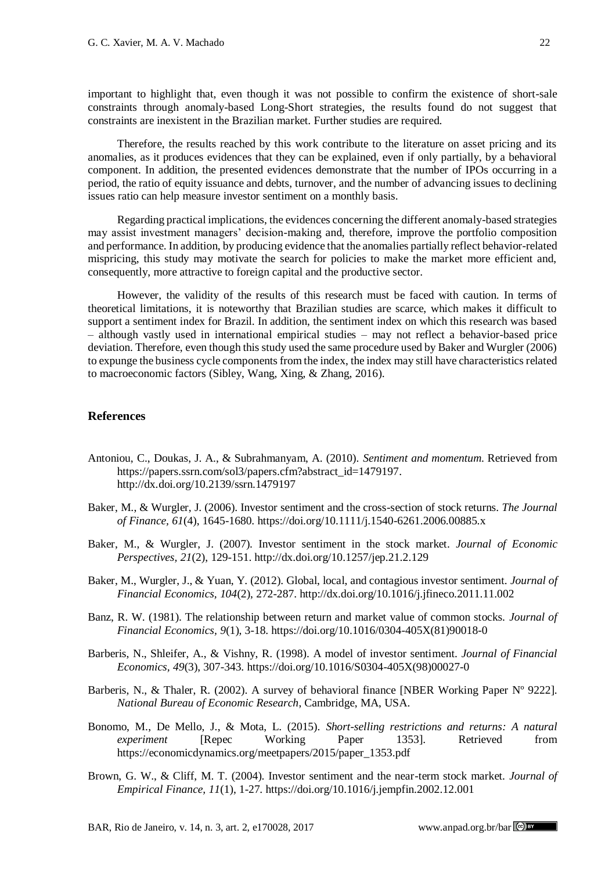important to highlight that, even though it was not possible to confirm the existence of short-sale constraints through anomaly-based Long-Short strategies, the results found do not suggest that constraints are inexistent in the Brazilian market. Further studies are required.

Therefore, the results reached by this work contribute to the literature on asset pricing and its anomalies, as it produces evidences that they can be explained, even if only partially, by a behavioral component. In addition, the presented evidences demonstrate that the number of IPOs occurring in a period, the ratio of equity issuance and debts, turnover, and the number of advancing issues to declining issues ratio can help measure investor sentiment on a monthly basis.

Regarding practical implications, the evidences concerning the different anomaly-based strategies may assist investment managers' decision-making and, therefore, improve the portfolio composition and performance. In addition, by producing evidence that the anomalies partially reflect behavior-related mispricing, this study may motivate the search for policies to make the market more efficient and, consequently, more attractive to foreign capital and the productive sector.

However, the validity of the results of this research must be faced with caution. In terms of theoretical limitations, it is noteworthy that Brazilian studies are scarce, which makes it difficult to support a sentiment index for Brazil. In addition, the sentiment index on which this research was based – although vastly used in international empirical studies – may not reflect a behavior-based price deviation. Therefore, even though this study used the same procedure used by Baker and Wurgler (2006) to expunge the business cycle components from the index, the index may still have characteristics related to macroeconomic factors (Sibley, Wang, Xing, & Zhang, 2016).

## **References**

- Antoniou, C., Doukas, J. A., & Subrahmanyam, A. (2010). *Sentiment and momentum*. Retrieved from https://papers.ssrn.com/sol3/papers.cfm?abstract\_id=1479197. http://dx.doi.org/10.2139/ssrn.1479197
- Baker, M., & Wurgler, J. (2006). Investor sentiment and the cross-section of stock returns. *The Journal of Finance, 61*(4), 1645-1680. https://doi.org/10.1111/j.1540-6261.2006.00885.x
- Baker, M., & Wurgler, J. (2007). Investor sentiment in the stock market. *Journal of Economic Perspectives, 21*(2), 129-151. http://dx.doi.org/10.1257/jep.21.2.129
- Baker, M., Wurgler, J., & Yuan, Y. (2012). Global, local, and contagious investor sentiment. *Journal of Financial Economics, 104*(2), 272-287. http://dx.doi.org/10.1016/j.jfineco.2011.11.002
- Banz, R. W. (1981). The relationship between return and market value of common stocks. *Journal of Financial Economics, 9*(1), 3-18. https://doi.org/10.1016/0304-405X(81)90018-0
- Barberis, N., Shleifer, A., & Vishny, R. (1998). A model of investor sentiment. *Journal of Financial Economics, 49*(3), 307-343. https://doi.org/10.1016/S0304-405X(98)00027-0
- Barberis, N., & Thaler, R. (2002). A survey of behavioral finance [NBER Working Paper N° 9222]. *National Bureau of Economic Research*, Cambridge, MA, USA.
- Bonomo, M., De Mello, J., & Mota, L. (2015). *Short-selling restrictions and returns: A natural experiment* [Repec Working Paper 1353]. Retrieved from https://economicdynamics.org/meetpapers/2015/paper\_1353.pdf
- Brown, G. W., & Cliff, M. T. (2004). Investor sentiment and the near-term stock market. *Journal of Empirical Finance, 11*(1), 1-27. https://doi.org/10.1016/j.jempfin.2002.12.001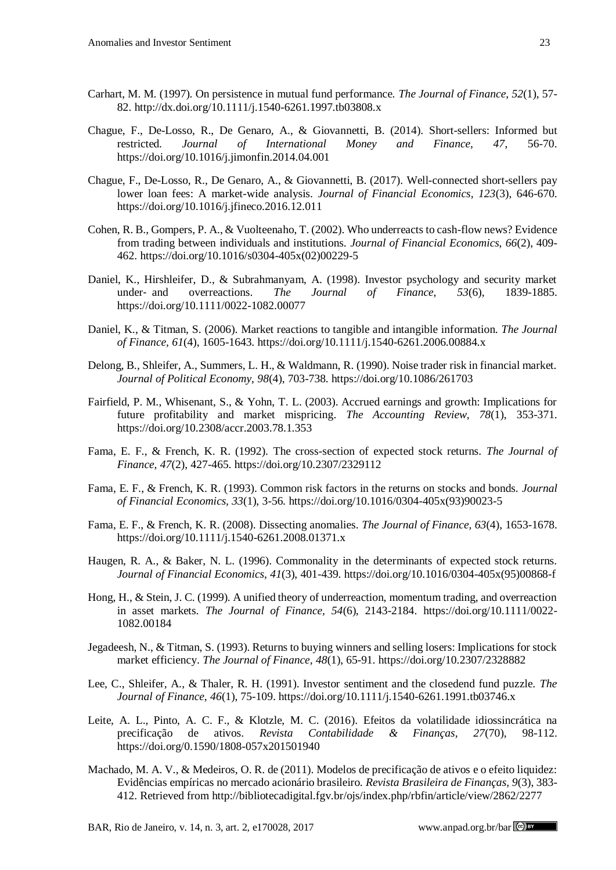- Carhart, M. M. (1997). On persistence in mutual fund performance. *The Journal of Finance, 52*(1), 57- 82. http://dx.doi.org/10.1111/j.1540-6261.1997.tb03808.x
- Chague, F., De-Losso, R., De Genaro, A., & Giovannetti, B. (2014). Short-sellers: Informed but restricted. *Journal of International Money and Finance, 47*, 56-70. https://doi.org/10.1016/j.jimonfin.2014.04.001
- Chague, F., De-Losso, R., De Genaro, A., & Giovannetti, B. (2017). Well-connected short-sellers pay lower loan fees: A market-wide analysis. *Journal of Financial Economics, 123*(3), 646-670. https://doi.org/10.1016/j.jfineco.2016.12.011
- Cohen, R. B., Gompers, P. A., & Vuolteenaho, T. (2002). Who underreacts to cash-flow news? Evidence from trading between individuals and institutions. *Journal of Financial Economics, 66*(2), 409- 462. https://doi.org/10.1016/s0304-405x(02)00229-5
- Daniel, K., Hirshleifer, D., & Subrahmanyam, A. (1998). Investor psychology and security market under‐ and overreactions. *The Journal of Finance, 53*(6), 1839-1885. https://doi.org/10.1111/0022-1082.00077
- Daniel, K., & Titman, S. (2006). Market reactions to tangible and intangible information. *The Journal of Finance, 61*(4), 1605-1643. https://doi.org/10.1111/j.1540-6261.2006.00884.x
- Delong, B., Shleifer, A., Summers, L. H., & Waldmann, R. (1990). Noise trader risk in financial market. *Journal of Political Economy, 98*(4), 703-738. https://doi.org/10.1086/261703
- Fairfield, P. M., Whisenant, S., & Yohn, T. L. (2003). Accrued earnings and growth: Implications for future profitability and market mispricing. *The Accounting Review, 78*(1), 353-371. https://doi.org/10.2308/accr.2003.78.1.353
- Fama, E. F., & French, K. R. (1992). The cross-section of expected stock returns. *The Journal of Finance, 47*(2), 427-465. https://doi.org/10.2307/2329112
- Fama, E. F., & French, K. R. (1993). Common risk factors in the returns on stocks and bonds. *Journal of Financial Economics, 33*(1), 3-56. https://doi.org/10.1016/0304-405x(93)90023-5
- Fama, E. F., & French, K. R. (2008). Dissecting anomalies. *The Journal of Finance, 63*(4), 1653-1678. https://doi.org/10.1111/j.1540-6261.2008.01371.x
- Haugen, R. A., & Baker, N. L. (1996). Commonality in the determinants of expected stock returns. *Journal of Financial Economics*, *41*(3), 401-439. https://doi.org/10.1016/0304-405x(95)00868-f
- Hong, H., & Stein, J. C. (1999). A unified theory of underreaction, momentum trading, and overreaction in asset markets. *The Journal of Finance, 54*(6), 2143-2184. https://doi.org/10.1111/0022- 1082.00184
- Jegadeesh, N., & Titman, S. (1993). Returns to buying winners and selling losers: Implications for stock market efficiency. *The Journal of Finance, 48*(1), 65-91. https://doi.org/10.2307/2328882
- Lee, C., Shleifer, A., & Thaler, R. H. (1991). Investor sentiment and the closedend fund puzzle. *The Journal of Finance, 46*(1), 75-109. https://doi.org/10.1111/j.1540-6261.1991.tb03746.x
- Leite, A. L., Pinto, A. C. F., & Klotzle, M. C. (2016). Efeitos da volatilidade idiossincrática na precificação de ativos. *Revista Contabilidade & Finanças, 27*(70), 98-112. https://doi.org/0.1590/1808-057x201501940
- Machado, M. A. V., & Medeiros, O. R. de (2011). Modelos de precificação de ativos e o efeito liquidez: Evidências empíricas no mercado acionário brasileiro. *Revista Brasileira de Finanças, 9*(3), 383- 412. Retrieved from http://bibliotecadigital.fgv.br/ojs/index.php/rbfin/article/view/2862/2277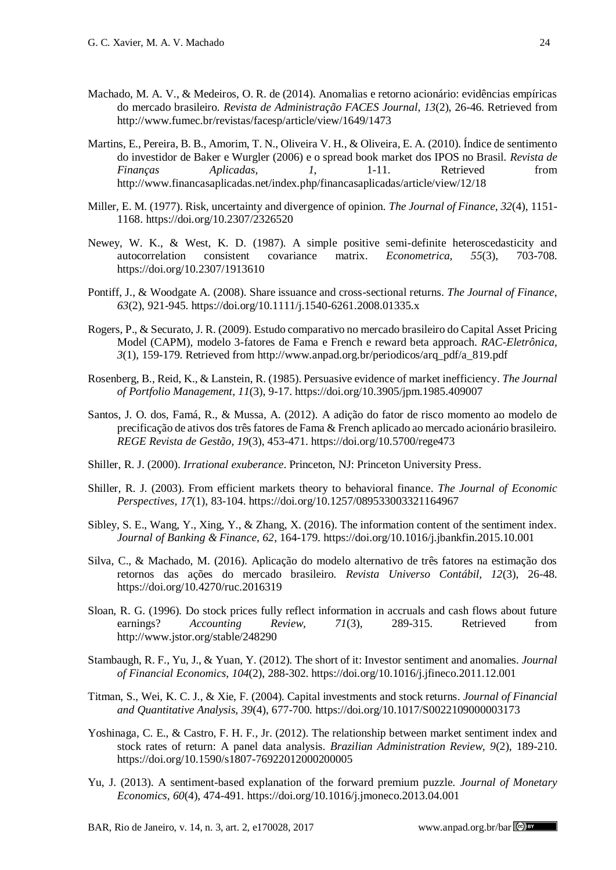- Machado, M. A. V., & Medeiros, O. R. de (2014). Anomalias e retorno acionário: evidências empíricas do mercado brasileiro. *Revista de Administração FACES Journal*, *13*(2), 26-46. Retrieved from http://www.fumec.br/revistas/facesp/article/view/1649/1473
- Martins, E., Pereira, B. B., Amorim, T. N., Oliveira V. H., & Oliveira, E. A. (2010). Índice de sentimento do investidor de Baker e Wurgler (2006) e o spread book market dos IPOS no Brasil. *Revista de Finanças Aplicadas*, *1*, 1-11. Retrieved from http://www.financasaplicadas.net/index.php/financasaplicadas/article/view/12/18
- Miller, E. M. (1977). Risk, uncertainty and divergence of opinion. *The Journal of Finance, 32*(4), 1151- 1168. https://doi.org/10.2307/2326520
- Newey, W. K., & West, K. D. (1987). A simple positive semi-definite heteroscedasticity and autocorrelation consistent covariance matrix. *Econometrica, 55*(3), 703-708. https://doi.org/10.2307/1913610
- Pontiff, J., & Woodgate A. (2008). Share issuance and cross-sectional returns. *The Journal of Finance*, *63*(2), 921-945. https://doi.org/10.1111/j.1540-6261.2008.01335.x
- Rogers, P., & Securato, J. R. (2009). Estudo comparativo no mercado brasileiro do Capital Asset Pricing Model (CAPM), modelo 3-fatores de Fama e French e reward beta approach. *RAC-Eletrônica, 3*(1), 159-179. Retrieved from http://www.anpad.org.br/periodicos/arq\_pdf/a\_819.pdf
- Rosenberg, B., Reid, K., & Lanstein, R. (1985). Persuasive evidence of market inefficiency. *The Journal of Portfolio Management*, *11*(3), 9-17. https://doi.org/10.3905/jpm.1985.409007
- Santos, J. O. dos, Famá, R., & Mussa, A. (2012). A adição do fator de risco momento ao modelo de precificação de ativos dos três fatores de Fama & French aplicado ao mercado acionário brasileiro. *REGE Revista de Gestão, 19*(3), 453-471. https://doi.org/10.5700/rege473
- Shiller, R. J. (2000). *Irrational exuberance*. Princeton, NJ: Princeton University Press.
- Shiller, R. J. (2003). From efficient markets theory to behavioral finance. *The Journal of Economic Perspectives, 17*(1), 83-104. https://doi.org/10.1257/089533003321164967
- Sibley, S. E., Wang, Y., Xing, Y., & Zhang, X. (2016). The information content of the sentiment index. *Journal of Banking & Finance, 62*, 164-179. https://doi.org/10.1016/j.jbankfin.2015.10.001
- Silva, C., & Machado, M. (2016). Aplicação do modelo alternativo de três fatores na estimação dos retornos das ações do mercado brasileiro. *Revista Universo Contábil, 12*(3), 26-48. https://doi.org/10.4270/ruc.2016319
- Sloan, R. G. (1996). Do stock prices fully reflect information in accruals and cash flows about future earnings? *Accounting Review, 71*(3), 289-315. Retrieved from http://www.jstor.org/stable/248290
- Stambaugh, R. F., Yu, J., & Yuan, Y. (2012). The short of it: Investor sentiment and anomalies. *Journal of Financial Economics, 104*(2), 288-302. https://doi.org/10.1016/j.jfineco.2011.12.001
- Titman, S., Wei, K. C. J., & Xie, F. (2004). Capital investments and stock returns. *Journal of Financial and Quantitative Analysis, 39*(4), 677-700. https://doi.org/10.1017/S0022109000003173
- Yoshinaga, C. E., & Castro, F. H. F., Jr. (2012). The relationship between market sentiment index and stock rates of return: A panel data analysis. *Brazilian Administration Review, 9*(2), 189-210. https://doi.org/10.1590/s1807-76922012000200005
- Yu, J. (2013). A sentiment-based explanation of the forward premium puzzle. *Journal of Monetary Economics, 60*(4), 474-491. https://doi.org/10.1016/j.jmoneco.2013.04.001